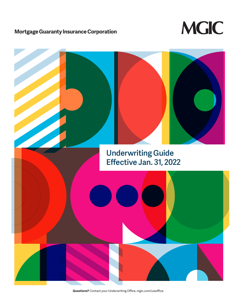# **Mortgage Guaranty Insurance Corporation**



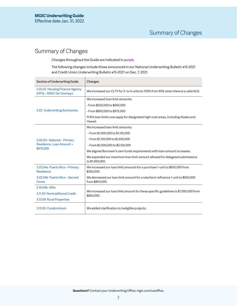# Summary of Changes

Changes throughout the Guide are indicated in purple.

The following changes include those announced in our National Underwriting Bulletin #15-2021 and Credit Union Underwriting Bulletin #15-2021 on Dec. 7, 2021:

| Section of Underwriting Guide                               | Changes                                                                                             |  |
|-------------------------------------------------------------|-----------------------------------------------------------------------------------------------------|--|
| 2.02.02 Housing Finance Agency<br>(HFA) - MGIC Go! Overlays | We increased our CLTV for 3- to 4-units to 105% from 95% when there is a valid AUS.                 |  |
|                                                             | We increased loan limit amounts:                                                                    |  |
|                                                             | - From \$550,000 to \$650,000                                                                       |  |
| 3.02 Underwriting Summaries                                 | - From \$850,000 to \$975,000                                                                       |  |
|                                                             | FHFA loan limits now apply for designated high-cost areas, including Alaska and<br>Hawaii.          |  |
|                                                             | We increased loan limit amounts:                                                                    |  |
|                                                             | - From \$1,000,000 to \$1,150,000                                                                   |  |
| 3.02.01c National - Primary                                 | - From \$1,150,000 to \$1,650,000                                                                   |  |
| <b>Residence, Loan Amount &gt;</b>                          | - From \$2,000,000 to \$2,150,000                                                                   |  |
| \$975,000                                                   | We aligned Borrower's own funds requirements with loan amount increases.                            |  |
|                                                             | We expanded our maximum loan limit amount allowed for delegated submissions<br>to \$1,000,000.      |  |
| 3.02.04a Puerto Rico-Primary<br>Residence                   | We increased our loan limit amounts for a purchase 1-unit to \$650,000 from<br>\$550,000.           |  |
| 3.02.04b Puerto Rico-Second<br>Home                         | We decreased our loan limit amount for a rate/term refinance 1-unit to \$650,000<br>from \$850,000. |  |
| 3.10.04b Gifts                                              |                                                                                                     |  |
| 3.11.04 Nontraditional Credit                               | We increased our loan limit amount for these specific guidelines to \$1,000,000 from<br>\$850,000.  |  |
| 3.13.09 Rural Properties                                    |                                                                                                     |  |
| 3.13.05 Condominium                                         | We added clarification to ineligible projects.                                                      |  |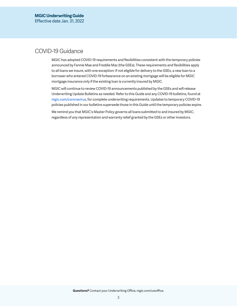# COVID-19 Guidance

MGIC has adopted COVID-19 requirements and flexibilities consistent with the temporary policies announced by Fannie Mae and Freddie Mac (the GSEs). These requirements and flexibilities apply to all loans we insure, with one exception: If not eligible for delivery to the GSEs, a new loan to a borrower who entered COVID-19 forbearance on an existing mortgage will be eligible for MGIC mortgage insurance only if the existing loan is currently insured by MGIC.

MGIC will continue to review COVID-19 announcements published by the GSEs and will release Underwriting Update Bulletins as needed. Refer to this Guide and any COVID-19 bulletins, found at [mgic.com/coronavirus,](https://mgic.com/coronavirus) for complete underwriting requirements. Updates to temporary COVID-19 policies published in our bulletins supersede those in this Guide until the temporary policies expire.

We remind you that MGIC's Master Policy governs all loans submitted to and insured by MGIC, regardless of any representation and warranty relief granted by the GSEs or other investors.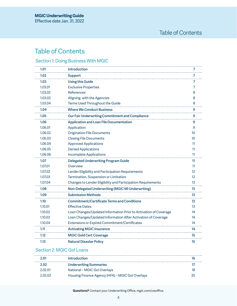# Table of Contents

# [Section 1: Doing Business With MGIC](#page-6-0)

| 1.01    | Introduction                                                     | 7                 |
|---------|------------------------------------------------------------------|-------------------|
| 1.02    | <b>Support</b>                                                   | 7                 |
| 1.03    | <b>Using this Guide</b>                                          | 7                 |
| 1.03.01 | <b>Exclusive Properties</b>                                      | 7                 |
| 1.03.02 | <b>References</b>                                                | 8                 |
| 1.03.03 | Aligning with the Agencies                                       | 8                 |
| 1.03.04 | Terms Used Throughout the Guide                                  | 8                 |
| 1.04    | <b>Where We Conduct Business</b>                                 | 9                 |
| 1.05    | Our Fair Underwriting Commitment and Compliance                  | 9                 |
| 1.06    | <b>Application and Loan File Documentation</b>                   | 9                 |
| 1.06.01 | Application                                                      | 9                 |
| 1.06.02 | <b>Origination File Documents</b>                                | 10                |
| 1.06.03 | <b>Closing File Documents</b>                                    | 10                |
| 1.06.04 | <b>Approved Applications</b>                                     | 11                |
| 1.06.05 | <b>Denied Applications</b>                                       | 11                |
| 1.06.06 | <b>Incomplete Applications</b>                                   | 11                |
| 1.07    | <b>Delegated Underwriting Program Guide</b>                      | 11                |
| 1.07.01 | Overview                                                         | 11                |
| 1.07.02 | Lender Eligibility and Participation Requirements                | $12 \overline{ }$ |
| 1.07.03 | Termination, Suspension or Limitation                            | $12 \overline{ }$ |
| 1.07.04 | Changes to Lender Eligibility and Participation Requirements     | 13                |
| 1.08    | Non-Delegated Underwriting (MGIC MI Underwriting)                | 13                |
| 1.09    | <b>Submission Methods</b>                                        | 13                |
| 1.10    | <b>Commitment/Certificate Terms and Conditions</b>               | 13                |
| 1.10.01 | <b>Effective Dates</b>                                           | 13                |
| 1.10.02 | Loan Changes/Updated Information Prior to Activation of Coverage | 14                |
| 1.10.03 | Loan Changes/Updated Information After Activation of Coverage    | 14                |
| 1.10.04 | Extensions or Expired Commitment/Certificates                    | 14                |
| 1.11    | <b>Activating MGIC Insurance</b>                                 | 14                |
| 1.12    | <b>MGIC Gold Cert Coverage</b>                                   | 15                |
| 1.13    | <b>Natural Disaster Policy</b>                                   | 15                |

# [Section 2: MGIC Go! Loans](#page-15-0)

| 2 U L   | <b>Introduction</b>                              |  |
|---------|--------------------------------------------------|--|
| 2.02    | <b>Underwriting Summaries</b>                    |  |
| 2 02 01 | National – MGIC Go! Overlays                     |  |
| 2 02 02 | Housing Finance Agency (HFA) - MGIC Go! Overlays |  |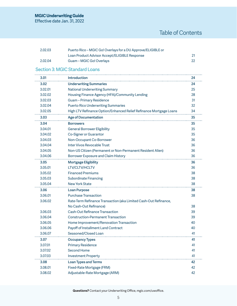Effective date Jan. 31, 2022

| 2.02.03 | Puerto Rico – MGIC Go! Overlays for a DU Approve/ELIGIBLE or |    |
|---------|--------------------------------------------------------------|----|
|         | Loan Product Advisor Accept/ELIGIBLE Response                |    |
| 2.02.04 | Guam – MGIC Go! Overlays                                     | 22 |

# [Section 3: MGIC Standard Loans](#page-23-1)

| 3.01    | <b>Introduction</b>                                                | 24 |
|---------|--------------------------------------------------------------------|----|
| 3.02    | <b>Underwriting Summaries</b>                                      | 24 |
| 3.02.01 | <b>National Underwriting Summary</b>                               | 25 |
| 3.02.02 | Housing Finance Agency (HFA)/Community Lending                     | 28 |
| 3.02.03 | Guam-Primary Residence                                             | 31 |
| 3.02.04 | <b>Puerto Rico Underwriting Summaries</b>                          | 32 |
| 3.02.05 | High LTV Refinance Option/Enhanced Relief Refinance Mortgage Loans | 34 |
| 3.03    | <b>Age of Documentation</b>                                        | 35 |
| 3.04    | <b>Borrowers</b>                                                   | 35 |
| 3.04.01 | <b>General Borrower Eligibility</b>                                | 35 |
| 3.04.02 | Co-Signer or Guarantor                                             | 35 |
| 3.04.03 | Non-Occupant Co-Borrower                                           | 36 |
| 3.04.04 | Inter Vivos Revocable Trust                                        | 36 |
| 3.04.05 | Non-US Citizen (Permanent or Non-Permanent Resident Alien)         | 36 |
| 3.04.06 | Borrower Exposure and Claim History                                | 36 |
| 3.05    | <b>Mortgage Eligibility</b>                                        | 36 |
| 3.05.01 | LTV/CLTV/HCLTV                                                     | 36 |
| 3.05.02 | <b>Financed Premiums</b>                                           | 38 |
| 3.05.03 | <b>Subordinate Financing</b>                                       | 38 |
| 3.05.04 | <b>New York State</b>                                              | 38 |
| 3.06    | <b>Loan Purpose</b>                                                | 38 |
| 3.06.01 | <b>Purchase Transaction</b>                                        | 38 |
| 3.06.02 | Rate-Term Refinance Transaction (aka Limited Cash-Out Refinance,   |    |
|         | No Cash-Out Refinance)                                             | 38 |
| 3.06.03 | <b>Cash-Out Refinance Transaction</b>                              | 39 |
| 3.06.04 | <b>Construction-Permanent Transaction</b>                          | 39 |
| 3.06.05 | Home Improvement/Renovation Transaction                            | 40 |
| 3.06.06 | Payoff of Installment Land Contract                                | 40 |
| 3.06.07 | Seasoned/Closed Loan                                               | 41 |
| 3.07    | <b>Occupancy Types</b>                                             | 41 |
| 3.07.01 | <b>Primary Residence</b>                                           | 41 |
| 3.07.02 | Second Home                                                        | 41 |
| 3.07.03 | <b>Investment Property</b>                                         | 41 |
| 3.08    | <b>Loan Types and Terms</b>                                        | 42 |
| 3.08.01 | Fixed-Rate Mortgage (FRM)                                          | 42 |
| 3.08.02 | Adjustable-Rate Mortgage (ARM)                                     | 42 |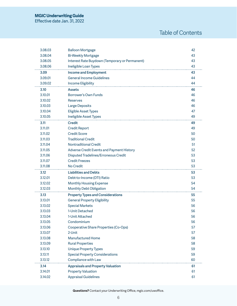Effective date Jan. 31, 2022

# Table of Contents

| 3.08.03            | <b>Balloon Mortgage</b>                                  | 42       |
|--------------------|----------------------------------------------------------|----------|
| 3.08.04            | <b>Bi-Weekly Mortgage</b>                                | 43       |
| 3.08.05            | Interest Rate Buydown (Temporary or Permanent)           | 43       |
| 3.08.06            | Ineligible Loan Types                                    | 43       |
| 3.09               | <b>Income and Employment</b>                             | 43       |
| 3.09.01            | <b>General Income Guidelines</b>                         | 44       |
| 3.09.02            | Income Eligibility                                       | 44       |
| 3.10               | <b>Assets</b>                                            | 46       |
| 3.10.01            | Borrower's Own Funds                                     | 46       |
| 3.10.02            | <b>Reserves</b>                                          | 46       |
| 3.10.03            | <b>Large Deposits</b>                                    | 46       |
| 3.10.04            | <b>Eligible Asset Types</b>                              | 47       |
| 3.10.05            | Ineligible Asset Types                                   | 49       |
| 3.11               | <b>Credit</b>                                            | 49       |
| 3.11.01            | <b>Credit Report</b>                                     | 49       |
| 3.11.02            | <b>Credit Score</b>                                      | 50       |
| 3.11.03            | <b>Traditional Credit</b>                                | 50       |
| 3.11.04            | <b>Nontraditional Credit</b>                             | 51       |
| 3.11.05            | Adverse Credit Events and Payment History                | 52       |
| 3.11.06            | Disputed Tradelines/Erroneous Credit                     | 53       |
| 3.11.07            | <b>Credit Freezes</b>                                    | 53       |
| 3.11.08            | No Credit                                                | 53       |
|                    |                                                          |          |
| 3.12               | <b>Liabilities and Debts</b>                             | 53       |
| 3.12.01            | Debt-to-Income (DTI) Ratio                               | 53       |
| 3.12.02            | <b>Monthly Housing Expense</b>                           | 54       |
| 3.12.03            | <b>Monthly Debt Obligation</b>                           | 54       |
| 3.13               | <b>Property Types and Considerations</b>                 | 55       |
| 3.13.01            | <b>General Property Eligibility</b>                      | 55       |
| 3.13.02            | <b>Special Markets</b>                                   | 56       |
| 3.13.03            | 1-Unit Detached                                          | 56       |
| 3.13.04            | 1-Unit Attached                                          | 56       |
| 3.13.05            | Condominium                                              | 56       |
| 3.13.06            | Cooperative Share Properties (Co-Ops)                    | 57       |
| 3.13.07            | 2-Unit                                                   | 57       |
| 3.13.08            | <b>Manufactured Home</b>                                 | 58       |
| 3.13.09            | <b>Rural Properties</b>                                  | 58       |
| 3.13.10            | <b>Unique Property Types</b>                             | 59       |
| 3.13.11            | <b>Special Property Considerations</b>                   | 59       |
| 3.13.12            | Compliance with Law                                      | 60       |
| 3.14               | <b>Appraisals and Property Valuation</b>                 | 61       |
| 3.14.01<br>3.14.02 | <b>Property Valuation</b><br><b>Appraisal Guidelines</b> | 61<br>61 |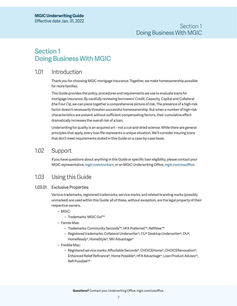# <span id="page-6-0"></span>Section 1 Doing Business With MGIC

# 1.01 Introduction

Thank you for choosing MGIC mortgage insurance. Together, we make homeownership possible for more families.

This Guide provides the policy, procedures and requirements we use to evaluate loans for mortgage insurance. By carefully reviewing borrowers' Credit, Capacity, Capital and Collateral (the Four Cs), we can piece together a comprehensive picture of risk. The presence of a high-risk factor doesn't necessarily threaten successful homeownership. But when a number of high-risk characteristics are present without sufficient compensating factors, their cumulative effect dramatically increases the overall risk of a loan.

Underwriting for quality is an acquired art – not a cut-and-dried science. While there are general principles that apply, every loan file represents a unique situation. We'll consider insuring loans that don't meet requirements stated in this Guide on a case-by-case basis.

# 1.02 Support

If you have questions about anything in this Guide or specific loan eligibility, please contact your MGIC representative, [mgic.com/contact,](https://www.mgic.com/contact) or an MGIC Underwriting Office, [mgic.com/uwoffice](https://www.mgic.com/contact#uw-operations).

# 1.03 Using this Guide

# 1.03.01 Exclusive Properties

Various trademarks, registered trademarks, service marks, and related branding marks (possibly unmarked) are used within this Guide; all of these, without exception, are the legal property of their respective owners.

- MGIC:
	- Trademarks: MGIC Go!™
- Fannie Mae:
	- Trademarks: Community Seconds™, HFA Preferred™, RefiNow™
	- Registered trademarks: Collateral Underwriter®, CU® Desktop Underwriter®, DU®, HomeReady®, HomeStyle®, MH Advantage®
- Freddie Mac:
	- Registered service marks: Affordable Seconds®, CHOICEHome®, CHOICERenovation®, Enhanced Relief Refinance®, Home Possible®, HFA Advantage®, Loan Product Advisor®, Refi Possible<sup>SM</sup>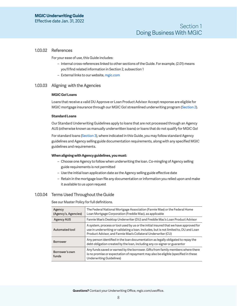### <span id="page-7-0"></span>1.03.02 References

For your ease of use, this Guide includes:

- Internal cross-references linked to other sections of the Guide. For example, (2.01) means you'll find related information in Section 2, subsection 1
- External links to our website, [mgic.com](https://www.mgic.com/)

#### <span id="page-7-1"></span>1.03.03 Aligning with the Agencies

#### **MGIC Go! Loans**

Loans that receive a valid DU Approve or Loan Product Advisor Accept response are eligible for MGIC mortgage insurance through our MGIC Go! streamlined underwriting program [\(Section 2\)](#page-15-1).

#### **Standard Loans**

Our Standard Underwriting Guidelines apply to loans that are not processed through an Agency AUS (otherwise known as manually underwritten loans) or loans that do not qualify for MGIC Go!

For standard loans [\(Section 3](#page-23-2)), where indicated in this Guide, you may follow standard Agency guidelines and Agency selling guide documentation requirements, along with any specified MGIC guidelines and requirements.

#### **When aligning with Agency guidelines, you must:**

- Choose one Agency to follow when underwriting the loan. Co-mingling of Agency selling guide requirements is not permitted
- Use the initial loan application date as the Agency selling guide effective date
- Retain in the mortgage loan file any documentation or information you relied upon and make it available to us upon request

### 1.03.04 Terms Used Throughout the Guide

See our Master Policy for full definitions.

| Agency<br>(Agency's, Agencies) | The Federal National Mortgage Association (Fannie Mae) or the Federal Home<br>Loan Mortgage Corporation (Freddie Mac), as applicable                                                                                                             |  |
|--------------------------------|--------------------------------------------------------------------------------------------------------------------------------------------------------------------------------------------------------------------------------------------------|--|
| <b>Agency AUS</b>              | Fannie Mae's Desktop Underwriter (DU) and Freddie Mac's Loan Product Advisor                                                                                                                                                                     |  |
| Automated tool                 | A system, process or tool used by us or the initial insured that we have approved for<br>use in underwriting or validating a loan. Includes, but is not limited to, DU and Loan<br>Product Advisor, and Fannie Mae's Collateral Underwriter (CU) |  |
| <b>Borrower</b>                | Any person identified in the loan documentation as legally obligated to repay the<br>debt obligation created by the loan, including any co-signer or guarantor                                                                                   |  |
| Borrower's own<br>funds        | Any funds saved or earned by the borrower. Gifts from family members where there<br>is no promise or expectation of repayment may also be eligible (specified in these<br>Underwriting Guidelines)                                               |  |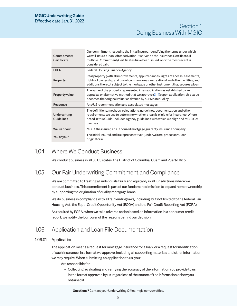<span id="page-8-0"></span>

| Commitment/<br>Certificate        | Our commitment, issued to the initial insured, identifying the terms under which<br>we will insure a loan. After activation, it serves as the insurance Certificate. If<br>multiple Commitment/Certificates have been issued, only the most recent is<br>considered valid |
|-----------------------------------|---------------------------------------------------------------------------------------------------------------------------------------------------------------------------------------------------------------------------------------------------------------------------|
| <b>FHFA</b>                       | Federal Housing Finance Agency                                                                                                                                                                                                                                            |
| Property                          | Real property (with all improvements, appurtenances, rights of access, easements,<br>rights of ownership and use of common areas, recreational and other facilities, and<br>additions thereto) subject to the mortgage or other instrument that secures a loan            |
| Property value                    | The value of the property represented in an application as established by an<br>appraisal or alternative method that we approve $(3.14)$ ; upon application, this value<br>becomes the "original value" as defined by our Master Policy                                   |
| Response                          | An AUS recommendation and associated messages                                                                                                                                                                                                                             |
| Underwriting<br><b>Guidelines</b> | The definitions, methods, calculations, guidelines, documentation and other<br>requirements we use to determine whether a loan is eligible for insurance. Where<br>noted in this Guide, includes Agency guidelines with which we align and MGIC Go!<br>overlays           |
| We, us or our                     | MGIC, the insurer, an authorized mortgage guaranty insurance company                                                                                                                                                                                                      |
| You or your                       | The initial insured and its representatives (underwriters, processors, loan<br>originators)                                                                                                                                                                               |

# 1.04 Where We Conduct Business

We conduct business in all 50 US states, the District of Columbia, Guam and Puerto Rico.

# 1.05 Our Fair Underwriting Commitment and Compliance

We are committed to treating all individuals fairly and equitably in all jurisdictions where we conduct business. This commitment is part of our fundamental mission to expand homeownership by supporting the origination of quality mortgage loans.

We do business in compliance with all fair lending laws, including, but not limited to the federal Fair Housing Act, the Equal Credit Opportunity Act (ECOA) and the Fair Credit Reporting Act (FCRA).

As required by FCRA, when we take adverse action based on information in a consumer credit report, we notify the borrower of the reasons behind our decision.

# 1.06 Application and Loan File Documentation

# 1.06.01 Application

The application means a request for mortgage insurance for a loan, or a request for modification of such insurance, in a format we approve, including all supporting materials and other information we may require. When submitting an application to us, you:

- Are responsible for:
	- Collecting, evaluating and verifying the accuracy of the information you provide to us in the format approved by us, regardless of the source of the information or how you obtained it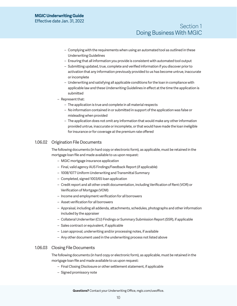# <span id="page-9-0"></span>**MGIC Underwriting Guide** Effective date Jan. 31, 2022

- Complying with the requirements when using an automated tool as outlined in these Underwriting Guidelines
- Ensuring that all information you provide is consistent with automated tool output
- Submitting updated, true, complete and verified information if you discover prior to activation that any information previously provided to us has become untrue, inaccurate or incomplete
- Underwriting and satisfying all applicable conditions for the loan in compliance with applicable law and these Underwriting Guidelines in effect at the time the application is submitted
- Represent that:
	- The application is true and complete in all material respects
	- No information contained in or submitted in support of the application was false or misleading when provided
	- The application does not omit any information that would make any other information provided untrue, inaccurate or incomplete, or that would have made the loan ineligible for insurance or for coverage at the premium rate offered

# <span id="page-9-1"></span>1.06.02 Origination File Documents

The following documents (in hard copy or electronic form), as applicable, must be retained in the mortgage loan file and made available to us upon request:

- MGIC mortgage insurance application
- Final, valid agency AUS Findings/Feedback Report (if applicable)
- 1008/1077 Uniform Underwriting and Transmittal Summary
- Completed, signed 1003/65 loan application
- Credit report and all other credit documentation, including Verification of Rent (VOR) or Verification of Mortgage (VOM)
- Income and employment verification for all borrowers
- Asset verification for all borrowers
- Appraisal, including all addenda, attachments, schedules, photographs and other information included by the appraiser
- Collateral Underwriter (CU) Findings or Summary Submission Report (SSR), if applicable
- Sales contract or equivalent, if applicable
- Loan approval, underwriting and/or processing notes, if available
- Any other document used in the underwriting process not listed above

### <span id="page-9-2"></span>1.06.03 Closing File Documents

The following documents (in hard copy or electronic form), as applicable, must be retained in the mortgage loan file and made available to us upon request:

- Final Closing Disclosure or other settlement statement, if applicable
- Signed promissory note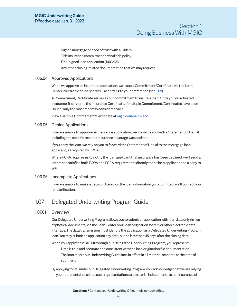- <span id="page-10-0"></span>– Signed mortgage or deed of trust with all riders
- Title insurance commitment or final title policy
- Final signed loan application (1003/65)
- Any other closing-related documentation that we may request

## 1.06.04 Approved Applications

When we approve an insurance application, we issue a Commitment/Certificate via the Loan Center, electronic delivery or fax – according to your preference (see [1.09\)](#page-12-1).

A Commitment/Certificate serves as our commitment to insure a loan. Once you've activated insurance, it serves as the insurance Certificate. If multiple Commitment/Certificates have been issued, only the most recent is considered valid.

View a sample Commitment/Certificate at [mgic.com/samplecc.](https://www.mgic.com/samplecc)

#### 1.06.05 Denied Applications

If we are unable to approve an insurance application, we'll provide you with a Statement of Denial, including the specific reasons insurance coverage was declined.

If you deny the loan, we rely on you to forward the Statement of Denial to the mortgage loan applicant, as required by ECOA.

Where FCRA requires us to notify the loan applicant that insurance has been declined, we'll send a letter that satisfies both ECOA and FCRA requirements directly to the loan applicant and a copy to you.

### 1.06.06 Incomplete Applications

If we are unable to make a decision based on the loan information you submitted, we'll contact you for clarification.

# <span id="page-10-1"></span>1.07 Delegated Underwriting Program Guide

### 1.07.01 Overview

Our Delegated Underwriting Program allows you to submit an application with loan data only (in lieu of physical documents) via the Loan Center, your loan origination system or other electronic data interface. The data transmission must identify the application as a Delegated Underwriting Program loan. You may submit an application any time, but no later than 45 days after the closing date.

When you apply for MGIC MI through our Delegated Underwriting Program, you represent:

- Data is true and accurate and consistent with the loan origination file documentation
- The loan meets our Underwriting Guidelines in effect in all material respects at the time of submission

By applying for MI under our Delegated Underwriting Program, you acknowledge that we are relying on your representations; that such representations are material inducements to our insurance of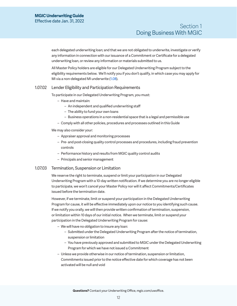<span id="page-11-0"></span>each delegated underwriting loan; and that we are not obligated to underwrite, investigate or verify any information in connection with our issuance of a Commitment or Certificate for a delegated underwriting loan, or review any information or materials submitted to us.

All Master Policy holders are eligible for our Delegated Underwriting Program subject to the eligibility requirements below. We'll notify you if you don't qualify, in which case you may apply for MI via a non-delegated MI underwrite [\(1.08\)](#page-12-2).

### 1.07.02 Lender Eligibility and Participation Requirements

To participate in our Delegated Underwriting Program, you must:

- Have and maintain:
	- An independent and qualified underwriting staff
	- The ability to fund your own loans
	- Business operations in a non-residential space that is a legal and permissible use
- Comply with all other policies, procedures and processes outlined in this Guide

#### We may also consider your:

- Appraiser approval and monitoring processes
- Pre- and post-closing quality control processes and procedures, including fraud prevention controls
- Performance history and results from MGIC quality control audits
- Principals and senior management

### 1.07.03 Termination, Suspension or Limitation

We reserve the right to terminate, suspend or limit your participation in our Delegated Underwriting Program with a 10-day written notification. If we determine you are no longer eligible to participate, we won't cancel your Master Policy nor will it affect Commitments/Certificates issued before the termination date.

However, if we terminate, limit or suspend your participation in the Delegated Underwriting Program for cause, it will be effective immediately upon our notice to you identifying such cause. If we notify you orally, we will then provide written confirmation of termination, suspension, or limitation within 10 days of our initial notice. When we terminate, limit or suspend your participation in the Delegated Underwriting Program for cause:

- We will have no obligation to insure any loan:
	- Submitted under the Delegated Underwriting Program after the notice of termination, suspension or limitation
	- You have previously approved and submitted to MGIC under the Delegated Underwriting Program for which we have not issued a Commitment
- Unless we provide otherwise in our notice of termination, suspension or limitation, Commitments issued prior to the notice effective date for which coverage has not been activated will be null and void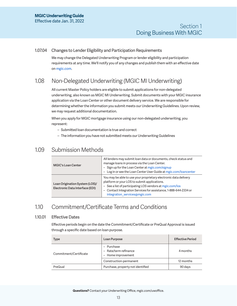### <span id="page-12-0"></span>1.07.04 Changes to Lender Eligibility and Participation Requirements

We may change the Delegated Underwriting Program or lender eligibility and participation requirements at any time. We'll notify you of any changes and publish them with an effective date on [mgic.com](https://www.mgic.com/).

# <span id="page-12-2"></span>1.08 Non-Delegated Underwriting (MGIC MI Underwriting)

All current Master Policy holders are eligible to submit applications for non-delegated underwriting, also known as MGIC MI Underwriting. Submit documents with your MGIC insurance application via the Loan Center or other document delivery service. We are responsible for determining whether the information you submit meets our Underwriting Guidelines. Upon review, we may request additional documentation.

When you apply for MGIC mortgage insurance using our non-delegated underwriting, you represent:

- Submitted loan documentation is true and correct
- The information you have not submitted meets our Underwriting Guidelines

# <span id="page-12-1"></span>1.09 Submission Methods

| <b>MGIC's Loan Center</b>                                         | All lenders may submit loan data or documents, check status and<br>manage loans in process via the Loan Center.<br>- Sign up for the Loan Center at mgic.com/signup<br>- Log in or see the Loan Center User Guide at mgic.com/loancenter                                         |  |
|-------------------------------------------------------------------|----------------------------------------------------------------------------------------------------------------------------------------------------------------------------------------------------------------------------------------------------------------------------------|--|
| Loan Origination System (LOS)/<br>Electronic Data Interface (EDI) | You may be able to use your proprietary electronic data delivery<br>platform or your LOS to submit applications.<br>- See a list of participating LOS vendors at mgic.com/los<br>Contact Integration Services for assistance, 1-888-644-2334 or<br>integration_services@mgic.com |  |

# 1.10 Commitment/Certificate Terms and Conditions

# 1.10.01 Effective Dates

Effective periods begin on the date the Commitment/Certificate or PreQual Approval is issued through a specific date based on loan purpose.

| <b>Type</b>            | Loan Purpose                                              | <b>Effective Period</b> |
|------------------------|-----------------------------------------------------------|-------------------------|
| Commitment/Certificate | - Purchase<br>- Rate/term refinance<br>- Home improvement | 4 months                |
|                        | Construction-permanent                                    | 12 months               |
| PreQual                | Purchase, property not identified                         | 90 days                 |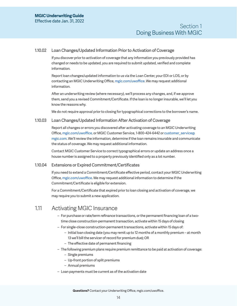# <span id="page-13-0"></span>1.10.02 Loan Changes/Updated Information Prior to Activation of Coverage

If you discover prior to activation of coverage that any information you previously provided has changed or needs to be updated, you are required to submit updated, verified and complete information.

Report loan changes/updated information to us via the Loan Center, your EDI or LOS, or by contacting an MGIC Underwriting Office, [mgic.com/uwoffice.](https://www.mgic.com/contact#uw-operations) We may request additional information.

After an underwriting review (where necessary), we'll process any changes, and, if we approve them, send you a revised Commitment/Certificate. If the loan is no longer insurable, we'll let you know the reasons why.

We do not require approval prior to closing for typographical corrections to the borrower's name.

### 1.10.03 Loan Changes/Updated Information After Activation of Coverage

Report all changes or errors you discovered after activating coverage to an MGIC Underwriting Office, [mgic.com/uwoffice,](https://www.mgic.com/contact#uw-operations) or MGIC Customer Service, 1-800-424-6442 or [customer\\_service@](mailto:customer_service%40mgic.com?subject=) [mgic.com](mailto:customer_service%40mgic.com?subject=). We'll review the information, determine if the loan remains insurable and communicate the status of coverage. We may request additional information.

Contact MGIC Customer Service to correct typographical errors or update an address once a house number is assigned to a property previously identified only as a lot number.

### <span id="page-13-1"></span>1.10.04 Extensions or Expired Commitment/Certificates

If you need to extend a Commitment/Certificate effective period, contact your MGIC Underwriting Office, [mgic.com/uwoffice.](https://www.mgic.com/contact#uw-operations) We may request additional information to determine if the Commitment/Certificate is eligible for extension.

For a Commitment/Certificate that expired prior to loan closing and activation of coverage, we may require you to submit a new application.

# 1.11 Activating MGIC Insurance

- For purchase or rate/term refinance transactions, or the permanent financing loan of a twotime close construction-permanent transaction, activate within 15 days of closing
- For single-close construction-permanent transactions, activate within 15 days of:
	- Initial loan closing date (you may remit up to 12 months of a monthly premium at month 13 we'll bill the servicer of record for premium due); OR
	- The effective date of permanent financing
- The following premium plans require premium remittance to be paid at activation of coverage: – Single premiums
	- Up-front portion of split premiums
	- Annual premiums
- Loan payments must be current as of the activation date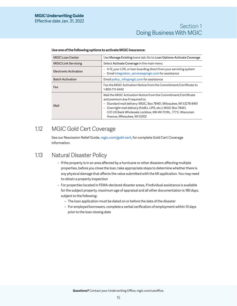# Section 1 Doing Business With MGIC

| <b>MGIC Loan Center</b>      | Use Manage Existing loans tab; Go to Loan Options-Activate Coverage                                                                                                                                                                                                                                                                                                |  |
|------------------------------|--------------------------------------------------------------------------------------------------------------------------------------------------------------------------------------------------------------------------------------------------------------------------------------------------------------------------------------------------------------------|--|
| <b>MGIC/Link Servicing</b>   | Select Activate Coverage in the main menu                                                                                                                                                                                                                                                                                                                          |  |
| <b>Electronic Activation</b> | - X-12, your LOS, or loan boarding direct from your servicing system<br>Email integration services@mgic.com for assistance<br>$\qquad \qquad -$                                                                                                                                                                                                                    |  |
| <b>Batch Activation</b>      | Email policy info@mgic.com for assistance                                                                                                                                                                                                                                                                                                                          |  |
| Fax                          | Fax the MGIC Activation Notice from the Commitment/Certificate to<br>1-800-711-6442                                                                                                                                                                                                                                                                                |  |
| Mail                         | Mail the MGIC Activation Notice from the Commitment/Certificate<br>and premium due if required to:<br>- Standard mail delivery: MGIC, Box 78461, Milwaukee, WI 53278-8461<br>Overnight mail delivery (FedEx, UPS, etc.): MGIC Box 78461,<br>$\overline{\phantom{0}}$<br>C/O US Bank Wholesale Lockbox, MK-WI-TCWL, 777 E. Wisconsin<br>Avenue, Milwaukee, WI 53202 |  |

#### <span id="page-14-0"></span>**Use one of the following options to activate MGIC insurance:**

# 1.12 MGIC Gold Cert Coverage

See our Rescission Relief Guide, [mgic.com/gold-cert](https://www.mgic.com/-/media/mi/servicing/71-43852-guide-pdf-rescission-relief.pdf), for complete Gold Cert Coverage information.

# <span id="page-14-1"></span>1.13 Natural Disaster Policy

- If the property is in an area affected by a hurricane or other disasters affecting multiple properties, before you close the loan, take appropriate steps to determine whether there is any physical damage that affects the value submitted with the MI application. You may need to obtain a property inspection
- For properties located in FEMA-declared disaster areas, if individual assistance is available for the subject property, maximum age of appraisal and all other documentation is 180 days, subject to the following:
	- The loan application must be dated on or before the date of the disaster
	- For employed borrowers, complete a verbal verification of employment within 10 days prior to the loan closing date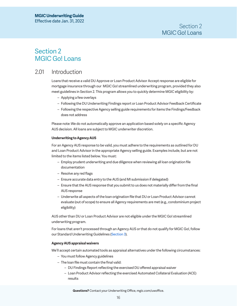# <span id="page-15-1"></span><span id="page-15-0"></span>Section 2 MGIC Go! Loans

# 2.01 Introduction

Loans that receive a valid DU Approve or Loan Product Advisor Accept response are eligible for mortgage insurance through our MGIC Go! streamlined underwriting program, provided they also meet guidelines in Section 2. This program allows you to quickly determine MGIC eligibility by:

- Applying a few overlays
- Following the DU Underwriting Findings report or Loan Product Advisor Feedback Certificate
- Following the respective Agency selling guide requirements for items the Findings/Feedback does not address

Please note: We do not automatically approve an application based solely on a specific Agency AUS decision. All loans are subject to MGIC underwriter discretion.

#### **Underwriting to Agency AUS**

For an Agency AUS response to be valid, you must adhere to the requirements as outlined for DU and Loan Product Advisor in the appropriate Agency selling guide. Examples include, but are not limited to the items listed below. You must:

- Employ prudent underwriting and due diligence when reviewing all loan origination file documentation
- Resolve any red flags
- Ensure accurate data entry to the AUS (and MI submission if delegated)
- Ensure that the AUS response that you submit to us does not materially differ from the final AUS response
- Underwrite all aspects of the loan origination file that DU or Loan Product Advisor cannot evaluate (out of scope) to ensure all Agency requirements are met (e.g., condominium project eligibility)

AUS other than DU or Loan Product Advisor are not eligible under the MGIC Go! streamlined underwriting program.

For loans that aren't processed through an Agency AUS or that do not qualify for MGIC Go!, follow our Standard Underwriting Guidelines ([Section 3\)](#page-23-2).

#### **Agency AUS appraisal waivers**

We'll accept certain automated tools as appraisal alternatives under the following circumstances:

- You must follow Agency guidelines
- The loan file must contain the final valid:
	- DU Findings Report reflecting the exercised DU offered appraisal waiver
	- Loan Product Advisor reflecting the exercised Automated Collateral Evaluation (ACE) results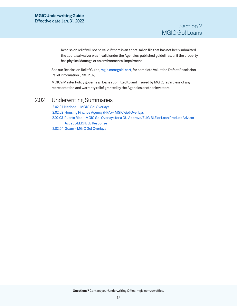<span id="page-16-0"></span>– Rescission relief will not be valid if there is an appraisal on file that has not been submitted, the appraisal waiver was invalid under the Agencies' published guidelines, or if the property has physical damage or an environmental impairment

See our Rescission Relief Guide, [mgic.com/gold-cert](https://www.mgic.com/-/media/mi/servicing/71-43852-guide-pdf-rescission-relief.pdf), for complete Valuation Defect Rescission Relief information (RRG 2.02).

MGIC's Master Policy governs all loans submitted to and insured by MGIC, regardless of any representation and warranty relief granted by the Agencies or other investors.

# 2.02 Underwriting Summaries

[2.02.01 National – MGIC Go! Overlays](#page-17-1) [2.02.02 Housing Finance Agency \(HFA\) – MGIC Go! Overlays](#page-19-0) [2.02.03 Puerto Rico – MGIC Go! Overlays for a DU Approve/ELIGIBLE or Loan Product Advisor](#page-20-1)  [Accept/ELIGIBLE Response](#page-20-1) [2.02.04 Guam – MGIC Go! Overlays](#page-21-1)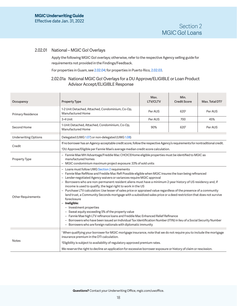$\mathbb{R}$ 

## <span id="page-17-1"></span><span id="page-17-0"></span>2.02.01 National – MGIC Go! Overlays

Apply the following MGIC Go! overlays; otherwise, refer to the respective Agency selling guide for requirements not provided in the Findings/Feedback.

For properties in Guam, see [2.02.04;](#page-21-1) for properties in Puerto Rico, [2.02.03.](#page-20-1)

# 2.02.01a National MGIC Go! Overlays for a DU Approve/ELIGIBLE or Loan Product Advisor Accept/ELIGIBLE Response

 $\mathbb{R}$ 

| Occupancy                   | <b>Property Type</b>                                                                                                                                                                                                                                                                                                                                                                                                                                                                                                                                                                                                                                                                                                                                                                                                                                                                                                                                                                                                                                       | Max.<br><b>LTV/CLTV</b> | Min.<br><b>Credit Score</b> | Max. Total DTI <sup>1</sup> |
|-----------------------------|------------------------------------------------------------------------------------------------------------------------------------------------------------------------------------------------------------------------------------------------------------------------------------------------------------------------------------------------------------------------------------------------------------------------------------------------------------------------------------------------------------------------------------------------------------------------------------------------------------------------------------------------------------------------------------------------------------------------------------------------------------------------------------------------------------------------------------------------------------------------------------------------------------------------------------------------------------------------------------------------------------------------------------------------------------|-------------------------|-----------------------------|-----------------------------|
| Primary Residence           | 1-2 Unit Detached, Attached, Condominium, Co-Op,<br>Manufactured Home                                                                                                                                                                                                                                                                                                                                                                                                                                                                                                                                                                                                                                                                                                                                                                                                                                                                                                                                                                                      | Per AUS                 | 620 <sup>2</sup>            | Per AUS                     |
|                             | 3-4 Unit                                                                                                                                                                                                                                                                                                                                                                                                                                                                                                                                                                                                                                                                                                                                                                                                                                                                                                                                                                                                                                                   | Per AUS                 | 700                         | 45%                         |
| Second Home                 | 1-Unit Detached, Attached, Condominium, Co-Op,<br>90%<br>620 <sup>2</sup><br>Manufactured Home                                                                                                                                                                                                                                                                                                                                                                                                                                                                                                                                                                                                                                                                                                                                                                                                                                                                                                                                                             |                         |                             | Per AUS                     |
| <b>Underwriting Options</b> | Delegated (UWG 1.07) or non-delegated (UWG 1.08)                                                                                                                                                                                                                                                                                                                                                                                                                                                                                                                                                                                                                                                                                                                                                                                                                                                                                                                                                                                                           |                         |                             |                             |
| Credit                      | If no borrower has an Agency-acceptable credit score, follow the respective Agency's requirements for nontraditional credit.<br><sup>2</sup> DU Approve/Eligible per Fannie Mae's average median credit score calculation.                                                                                                                                                                                                                                                                                                                                                                                                                                                                                                                                                                                                                                                                                                                                                                                                                                 |                         |                             |                             |
| Property Type               | - Fannie Mae MH Advantage/Freddie Mac CHOICEHome eligible properties must be identified to MGIC as<br>manufactured homes<br>- MGIC condominium maximum project exposure: 33% of sold units                                                                                                                                                                                                                                                                                                                                                                                                                                                                                                                                                                                                                                                                                                                                                                                                                                                                 |                         |                             |                             |
| <b>Other Requirements</b>   | - Loans must follow UWG Section 2 requirements<br>- Fannie Mae RefiNow and Freddie Mac Refi Possible eligible when MGIC insures the loan being refinanced<br>- Lender-negotiated Agency waivers or variances require MGIC approval<br>- Borrowers who are non-permanent resident aliens must have a minimum 2-year history of US residency and, if<br>income is used to qualify, the legal right to work in the US<br>- Purchase LTV calculation: Use lesser of sales price or appraised value regardless of the presence of a community<br>land trust, a Community Seconds mortgage with a subsidized sales price or a deed restriction that does not survive<br>foreclosure<br>- Ineligible:<br>- Investment properties<br>- Sweat equity exceeding 5% of the property value<br>- Fannie Mae high LTV refinance loans and Freddie Mac Enhanced Relief Refinance<br>- Borrowers who have been issued an Individual Tax Identification Number (ITIN) in lieu of a Social Security Number<br>- Borrowers who are foreign nationals with diplomatic immunity |                         |                             |                             |
| Notes                       | <sup>1</sup> When qualifying your borrower for MGIC mortgage insurance, note that we do not require you to include the mortgage<br>insurance premium in the DTI calculation.<br><sup>2</sup> Eligibility is subject to availability of regulatory approved premium rates.<br>We reserve the right to decline an application for excessive borrower exposure or history of claim or rescission.                                                                                                                                                                                                                                                                                                                                                                                                                                                                                                                                                                                                                                                             |                         |                             |                             |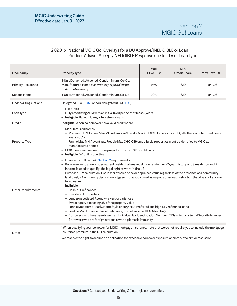# 2.02.01b National MGIC Go! Overlays for a DU Approve/INELIGIBLE or Loan Product Advisor Accept/INELIGIBLE Response due to LTV or Loan Type

| Occupancy                   | <b>Property Type</b>                                                                                                                                                                                                                                                                                                                                                                                                                                                                                                                                                                                                                                                                                                                                                                                                                                                                                                                                                                                                              | Max.<br><b>LTV/CLTV</b> | Min.<br><b>Credit Score</b> | Max. Total DTI <sup>1</sup> |
|-----------------------------|-----------------------------------------------------------------------------------------------------------------------------------------------------------------------------------------------------------------------------------------------------------------------------------------------------------------------------------------------------------------------------------------------------------------------------------------------------------------------------------------------------------------------------------------------------------------------------------------------------------------------------------------------------------------------------------------------------------------------------------------------------------------------------------------------------------------------------------------------------------------------------------------------------------------------------------------------------------------------------------------------------------------------------------|-------------------------|-----------------------------|-----------------------------|
| Primary Residence           | 1-Unit Detached, Attached, Condominium, Co-Op,<br>Manufactured Home (see Property Type below for<br>additional overlays)                                                                                                                                                                                                                                                                                                                                                                                                                                                                                                                                                                                                                                                                                                                                                                                                                                                                                                          | 97%                     | 620                         | Per AUS                     |
| Second Home                 | 1-Unit Detached, Attached, Condominium, Co-Op                                                                                                                                                                                                                                                                                                                                                                                                                                                                                                                                                                                                                                                                                                                                                                                                                                                                                                                                                                                     | 90%                     | 620                         | Per AUS                     |
| <b>Underwriting Options</b> | Delegated (UWG 1.07) or non-delegated (UWG 1.08)                                                                                                                                                                                                                                                                                                                                                                                                                                                                                                                                                                                                                                                                                                                                                                                                                                                                                                                                                                                  |                         |                             |                             |
| Loan Type                   | - Fixed-rate<br>- Fully amortizing ARM with an initial fixed period of at least 5 years<br>- Ineligible: Balloon loans, interest-only loans                                                                                                                                                                                                                                                                                                                                                                                                                                                                                                                                                                                                                                                                                                                                                                                                                                                                                       |                         |                             |                             |
| Credit                      | Ineligible: When no borrower has a valid credit score                                                                                                                                                                                                                                                                                                                                                                                                                                                                                                                                                                                                                                                                                                                                                                                                                                                                                                                                                                             |                         |                             |                             |
| Property Type               | - Manufactured homes<br>- Maximum LTV: Fannie Mae MH Advantage/Freddie Mac CHOICEHome loans, ≤97%; all other manufactured home<br>loans, ≤95%<br>- Fannie Mae MH Advantage/Freddie Mac CHOICEHome eligible properties must be identified to MGIC as<br>manufactured homes<br>- MGIC condominium maximum project exposure: 33% of sold units<br>- Ineligible: 2-4 unit properties                                                                                                                                                                                                                                                                                                                                                                                                                                                                                                                                                                                                                                                  |                         |                             |                             |
| <b>Other Requirements</b>   | - Loans must follow UWG Section 2 requirements<br>- Borrowers who are non-permanent resident aliens must have a minimum 2-year history of US residency and, if<br>income is used to qualify, the legal right to work in the US<br>- Purchase LTV calculation: Use lesser of sales price or appraised value regardless of the presence of a community<br>land trust, a Community Seconds mortgage with a subsidized sales price or a deed restriction that does not survive<br>foreclosure<br>- Ineligible:<br>- Cash-out refinances<br>- Investment properties<br>- Lender-negotiated Agency waivers or variances<br>- Sweat equity exceeding 5% of the property value<br>- Fannie Mae Home Ready, HomeStyle Energy, HFA Preferred and high-LTV refinance loans<br>- Freddie Mac Enhanced Relief Refinance, Home Possible, HFA Advantage<br>- Borrowers who have been issued an Individual Tax Identification Number (ITIN) in lieu of a Social Security Number<br>- Borrowers who are foreign nationals with diplomatic immunity |                         |                             |                             |
| <b>Notes</b>                | <sup>1</sup> When qualifying your borrower for MGIC mortgage insurance, note that we do not require you to include the mortgage<br>insurance premium in the DTI calculation.<br>We reserve the right to decline an application for excessive borrower exposure or history of claim or rescission.                                                                                                                                                                                                                                                                                                                                                                                                                                                                                                                                                                                                                                                                                                                                 |                         |                             |                             |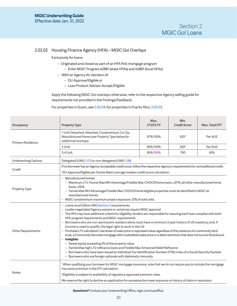## <span id="page-19-1"></span><span id="page-19-0"></span>2.02.02 Housing Finance Agency (HFA) – MGIC Go! Overlays

Exclusively for loans:

- Originated and closed as part of an HFA first mortgage program
	- Enter MGIC Program #2881 (state HFAs) and #3881 (local HFAs)
- With an Agency AU decision of:
	- DU Approve/Eligible or
	- Loan Product Advisor Accept/Eligible

Apply the following MGIC Go! overlays; otherwise, refer to the respective Agency selling guide for requirements not provided in the Findings/Feedback.

For properties in Guam, see [2.02.04;](#page-21-1) for properties in Puerto Rico, [2.02.03.](#page-20-1)

| Occupancy                   | <b>Property Type</b>                                                                                                                                                                                                                                                                                                                                                                                                                                                                                                                                                                                                                                                                                                                                                                                                                                                                                                                                                                                                                                                                             | Max.<br><b>LTV/CLTV</b> | Min.<br><b>Credit Score</b> | Max. Total DTI <sup>1</sup> |
|-----------------------------|--------------------------------------------------------------------------------------------------------------------------------------------------------------------------------------------------------------------------------------------------------------------------------------------------------------------------------------------------------------------------------------------------------------------------------------------------------------------------------------------------------------------------------------------------------------------------------------------------------------------------------------------------------------------------------------------------------------------------------------------------------------------------------------------------------------------------------------------------------------------------------------------------------------------------------------------------------------------------------------------------------------------------------------------------------------------------------------------------|-------------------------|-----------------------------|-----------------------------|
| Primary Residence           | 1-Unit Detached, Attached, Condominium, Co-Op,<br>Manufactured Home (see Property Type below for<br>additional overlays)                                                                                                                                                                                                                                                                                                                                                                                                                                                                                                                                                                                                                                                                                                                                                                                                                                                                                                                                                                         | 97%/105%                | 620 <sup>2</sup>            | Per AUS                     |
|                             | 2-Unit                                                                                                                                                                                                                                                                                                                                                                                                                                                                                                                                                                                                                                                                                                                                                                                                                                                                                                                                                                                                                                                                                           | 95%/105%                | 620 <sup>2</sup>            | Per AUS                     |
|                             | 3-4 Unit                                                                                                                                                                                                                                                                                                                                                                                                                                                                                                                                                                                                                                                                                                                                                                                                                                                                                                                                                                                                                                                                                         | 95%/105%                | 700                         | 45%                         |
| <b>Underwriting Options</b> | Delegated (UWG 1.07) or non-delegated (UWG 1.08)                                                                                                                                                                                                                                                                                                                                                                                                                                                                                                                                                                                                                                                                                                                                                                                                                                                                                                                                                                                                                                                 |                         |                             |                             |
| Credit                      | If no borrower has an Agency-acceptable credit score, follow the respective Agency's requirements for nontraditional credit.<br><sup>2</sup> DU Approve/Eligible per Fannie Mae's average median credit score calculation.                                                                                                                                                                                                                                                                                                                                                                                                                                                                                                                                                                                                                                                                                                                                                                                                                                                                       |                         |                             |                             |
| Property Type               | - Manufactured homes<br>- Maximum LTV: Fannie Mae MH Advantage/Freddie Mac CHOICEHome loans, ≤97%; all other manufactured home<br>loans, ≤95%<br>- Fannie Mae MH Advantage/Freddie Mac CHOICEHome eligible properties must be identified to MGIC as<br>manufactured homes<br>- MGIC condominium maximum project exposure: 33% of sold units                                                                                                                                                                                                                                                                                                                                                                                                                                                                                                                                                                                                                                                                                                                                                      |                         |                             |                             |
| <b>Other Requirements</b>   | - Loans must follow UWG Section 2 requirements<br>- Lender-negotiated Agency waivers or variances require MGIC approval<br>- The HFA may have additional criteria for eligibility; lenders are responsible for assuring each loan complies with both<br>HFA program requirements and MGIC requirements<br>- Borrowers who are non-permanent resident aliens must have a minimum 2-year history of US residency and, if<br>income is used to qualify, the legal right to work in the US<br>- Purchase LTV calculation: Use lesser of sales price or appraised value regardless of the presence of a community land<br>trust, a Community Seconds mortgage with a subsidized sales price or a deed restriction that does not survive foreclosure<br>- Ineligible:<br>- Sweat equity exceeding 5% of the property value<br>- Fannie Mae high LTV refinance loans and Freddie Mac Enhanced Relief Refinance<br>- Borrowers who have been issued an Individual Tax Identification Number (ITIN) in lieu of a Social Security Number<br>- Borrowers who are foreign nationals with diplomatic immunity |                         |                             |                             |
| <b>Notes</b>                | <sup>1</sup> When qualifying your borrower for MGIC mortgage insurance, note that we do not require you to include the mortgage<br>insurance premium in the DTI calculation.<br><sup>2</sup> Eligibility is subject to availability of regulatory approved premium rates.<br>We reserve the right to decline an application for excessive borrower exposure or history of claim or rescission.                                                                                                                                                                                                                                                                                                                                                                                                                                                                                                                                                                                                                                                                                                   |                         |                             |                             |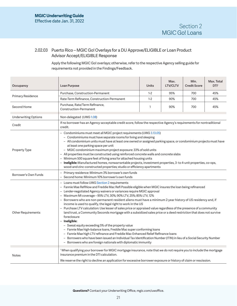# <span id="page-20-1"></span><span id="page-20-0"></span>2.02.03 Puerto Rico – MGIC Go! Overlays for a DU Approve/ELIGIBLE or Loan Product Advisor Accept/ELIGIBLE Response

Apply the following MGIC Go! overlays; otherwise, refer to the respective Agency selling guide for requirements not provided in the Findings/Feedback.

| Occupancy                   | Loan Purpose                                                                                                                                                                                                                                                                                                                                                                                                                                                                                                                                                                                                                                                                                                                                                                                                                                                                                                                                                                                                                                                                                                                                                               | Units   | Max.<br><b>LTV/CLTV</b> | Min.<br><b>Credit Score</b> | Max. Total<br>DTI <sup>1</sup> |
|-----------------------------|----------------------------------------------------------------------------------------------------------------------------------------------------------------------------------------------------------------------------------------------------------------------------------------------------------------------------------------------------------------------------------------------------------------------------------------------------------------------------------------------------------------------------------------------------------------------------------------------------------------------------------------------------------------------------------------------------------------------------------------------------------------------------------------------------------------------------------------------------------------------------------------------------------------------------------------------------------------------------------------------------------------------------------------------------------------------------------------------------------------------------------------------------------------------------|---------|-------------------------|-----------------------------|--------------------------------|
|                             | Purchase, Construction-Permanent                                                                                                                                                                                                                                                                                                                                                                                                                                                                                                                                                                                                                                                                                                                                                                                                                                                                                                                                                                                                                                                                                                                                           | $1 - 2$ | 95%                     | 700                         | 45%                            |
| Primary Residence           | Rate-Term Refinance, Construction-Permanent                                                                                                                                                                                                                                                                                                                                                                                                                                                                                                                                                                                                                                                                                                                                                                                                                                                                                                                                                                                                                                                                                                                                | $1 - 2$ | 90%                     | 700                         | 45%                            |
| Second Home                 | Purchase, Rate/Term Refinance,<br>Construction-Permanent                                                                                                                                                                                                                                                                                                                                                                                                                                                                                                                                                                                                                                                                                                                                                                                                                                                                                                                                                                                                                                                                                                                   | 1       | 90%                     | 700                         | 45%                            |
| <b>Underwriting Options</b> | Non-delegated (UWG 1.08)                                                                                                                                                                                                                                                                                                                                                                                                                                                                                                                                                                                                                                                                                                                                                                                                                                                                                                                                                                                                                                                                                                                                                   |         |                         |                             |                                |
| Credit                      | If no borrower has an Agency-acceptable credit score, follow the respective Agency's requirements for nontraditional<br>credit.                                                                                                                                                                                                                                                                                                                                                                                                                                                                                                                                                                                                                                                                                                                                                                                                                                                                                                                                                                                                                                            |         |                         |                             |                                |
| <b>Property Type</b>        | - Condominiums must meet all MGIC project requirements (UWG 3.13.05)<br>- Condominiums must have separate rooms for living and sleeping<br>- All condominium units must have at least one owned or assigned parking space, or condominium projects must have<br>at least one parking space per unit<br>- MGIC condominium maximum project exposure: 33% of sold units<br>All properties must be constructed using reinforced concrete walls and concrete slabs<br>- Minimum 500 square feet of living area for attached housing units<br>- Ineligible: Manufactured homes, nonwarrantable projects, investment properties, 3- to 4-unit properties, co-ops,<br>wood-and-zinc-constructed properties; studio or efficiency apartments                                                                                                                                                                                                                                                                                                                                                                                                                                       |         |                         |                             |                                |
| Borrower's Own Funds        | - Primary residence: Minimum 3% borrower's own funds<br>Second home: Minimum 10% borrower's own funds                                                                                                                                                                                                                                                                                                                                                                                                                                                                                                                                                                                                                                                                                                                                                                                                                                                                                                                                                                                                                                                                      |         |                         |                             |                                |
| <b>Other Requirements</b>   | - Loans must follow UWG Section 2 requirements<br>- Fannie Mae RefiNow and Freddie Mac Refi Possible eligible when MGIC insures the loan being refinanced<br>- Lender-negotiated Agency waivers or variances require MGIC approval<br>- Maximum MI coverage - 95% LTV, 30%; 90% LTV, 25%; 85% LTV, 12%<br>- Borrowers who are non-permanent resident aliens must have a minimum 2-year history of US residency and, if<br>income is used to qualify, the legal right to work in the US<br>- Purchase LTV calculation: Use lesser of sales price or appraised value regardless of the presence of a community<br>land trust, a Community Seconds mortgage with a subsidized sales price or a deed restriction that does not survive<br>foreclosure<br>- Ineligible:<br>- Sweat equity exceeding 5% of the property value<br>- Fannie Mae high-balance loans, Freddie Mac super conforming loans<br>- Fannie Mae high LTV refinance and Freddie Mac Enhanced Relief Refinance loans<br>- Borrowers who have been issued an Individual Tax Identification Number (ITIN) in lieu of a Social Security Number<br>- Borrowers who are foreign nationals with diplomatic immunity |         |                         |                             |                                |
| <b>Notes</b>                | <sup>1</sup> When qualifying your borrower for MGIC mortgage insurance, note that we do not require you to include the mortgage<br>insurance premium in the DTI calculation.<br>We reserve the right to decline an application for excessive borrower exposure or history of claim or rescission.                                                                                                                                                                                                                                                                                                                                                                                                                                                                                                                                                                                                                                                                                                                                                                                                                                                                          |         |                         |                             |                                |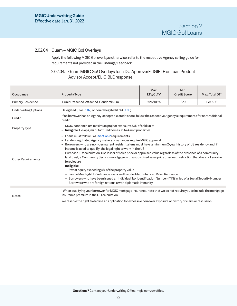# <span id="page-21-1"></span><span id="page-21-0"></span>2.02.04 Guam – MGIC Go! Overlays

Apply the following MGIC Go! overlays; otherwise, refer to the respective Agency selling guide for requirements not provided in the Findings/Feedback.

# 2.02.04a Guam MGIC Go! Overlays for a DU Approve/ELIGIBLE or Loan Product Advisor Accept/ELIGIBLE response

| Occupancy                   | <b>Property Type</b>                                                                                                                                                                                                                                                                                                                                                                                                                                                                                                                                                                                                                                                                                                                                                                                                                                                                                                 | Max.<br><b>LTV/CLTV</b> | Min.<br><b>Credit Score</b> | Max. Total DTI <sup>1</sup> |
|-----------------------------|----------------------------------------------------------------------------------------------------------------------------------------------------------------------------------------------------------------------------------------------------------------------------------------------------------------------------------------------------------------------------------------------------------------------------------------------------------------------------------------------------------------------------------------------------------------------------------------------------------------------------------------------------------------------------------------------------------------------------------------------------------------------------------------------------------------------------------------------------------------------------------------------------------------------|-------------------------|-----------------------------|-----------------------------|
| Primary Residence           | 1-Unit Detached, Attached, Condominium                                                                                                                                                                                                                                                                                                                                                                                                                                                                                                                                                                                                                                                                                                                                                                                                                                                                               | 97%/105%                | 620                         | Per AUS                     |
| <b>Underwriting Options</b> | Delegated (UWG 1.07) or non-delegated (UWG 1.08)                                                                                                                                                                                                                                                                                                                                                                                                                                                                                                                                                                                                                                                                                                                                                                                                                                                                     |                         |                             |                             |
| Credit                      | If no borrower has an Agency-acceptable credit score, follow the respective Agency's requirements for nontraditional<br>credit.                                                                                                                                                                                                                                                                                                                                                                                                                                                                                                                                                                                                                                                                                                                                                                                      |                         |                             |                             |
| <b>Property Type</b>        | - MGIC condominium maximum project exposure: 33% of sold units<br><b>Ineligible:</b> Co-ops, manufactured homes, 2- to 4-unit properties                                                                                                                                                                                                                                                                                                                                                                                                                                                                                                                                                                                                                                                                                                                                                                             |                         |                             |                             |
| <b>Other Requirements</b>   | - Loans must follow UWG Section 2 requirements<br>- Lender-negotiated Agency waivers or variances require MGIC approval<br>- Borrowers who are non-permanent resident aliens must have a minimum 2-year history of US residency and, if<br>income is used to qualify, the legal right to work in the US<br>- Purchase LTV calculation: Use lesser of sales price or appraised value regardless of the presence of a community<br>land trust, a Community Seconds mortgage with a subsidized sales price or a deed restriction that does not survive<br>foreclosure<br>- Ineligible:<br>- Sweat equity exceeding 5% of the property value<br>- Fannie Mae high LTV refinance loans and Freddie Mac Enhanced Relief Refinance<br>- Borrowers who have been issued an Individual Tax Identification Number (ITIN) in lieu of a Social Security Number<br>- Borrowers who are foreign nationals with diplomatic immunity |                         |                             |                             |
| <b>Notes</b>                | <sup>1</sup> When qualifying your borrower for MGIC mortgage insurance, note that we do not require you to include the mortgage<br>insurance premium in the DTI calculation.<br>We reserve the right to decline an application for excessive borrower exposure or history of claim or rescission.                                                                                                                                                                                                                                                                                                                                                                                                                                                                                                                                                                                                                    |                         |                             |                             |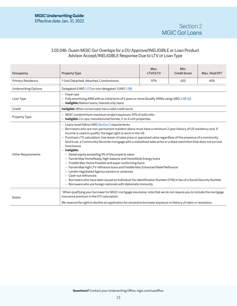# 2.02.04b Guam MGIC Go! Overlays for a DU Approve/INELIGIBLE or Loan Product Advisor Accept/INELIGIBLE Response Due to LTV or Loan Type

| Occupancy                   | <b>Property Type</b>                                                                                                                                                                                                                                                                                                                                                                                                                                                                                                                                                                                                                                                                                                                                                                                                                                                                                                                                                                                                                                 | Max.<br><b>LTV/CLTV</b>                                                                                                             | Min.<br><b>Credit Score</b> | Max. Total DTI <sup>1</sup> |  |
|-----------------------------|------------------------------------------------------------------------------------------------------------------------------------------------------------------------------------------------------------------------------------------------------------------------------------------------------------------------------------------------------------------------------------------------------------------------------------------------------------------------------------------------------------------------------------------------------------------------------------------------------------------------------------------------------------------------------------------------------------------------------------------------------------------------------------------------------------------------------------------------------------------------------------------------------------------------------------------------------------------------------------------------------------------------------------------------------|-------------------------------------------------------------------------------------------------------------------------------------|-----------------------------|-----------------------------|--|
| <b>Primary Residence</b>    | 1-Unit Detached, Attached, Condominium                                                                                                                                                                                                                                                                                                                                                                                                                                                                                                                                                                                                                                                                                                                                                                                                                                                                                                                                                                                                               | 97%                                                                                                                                 | 620                         | 45%                         |  |
| <b>Underwriting Options</b> | Delegated (UWG 1.07) or non-delegated (UWG 1.08)                                                                                                                                                                                                                                                                                                                                                                                                                                                                                                                                                                                                                                                                                                                                                                                                                                                                                                                                                                                                     |                                                                                                                                     |                             |                             |  |
| Loan Type                   | - Fixed-rate<br>- Fully amortizing ARM with an initial term of 5 years or more (Qualify ARMs using UWG 3.08.02)<br>- Ineligible: Balloon loans, interest-only loans                                                                                                                                                                                                                                                                                                                                                                                                                                                                                                                                                                                                                                                                                                                                                                                                                                                                                  |                                                                                                                                     |                             |                             |  |
| Credit                      | Ineligible: When no borrower has a valid credit score                                                                                                                                                                                                                                                                                                                                                                                                                                                                                                                                                                                                                                                                                                                                                                                                                                                                                                                                                                                                |                                                                                                                                     |                             |                             |  |
| <b>Property Type</b>        |                                                                                                                                                                                                                                                                                                                                                                                                                                                                                                                                                                                                                                                                                                                                                                                                                                                                                                                                                                                                                                                      | - MGIC condominium maximum project exposure: 33% of sold units<br>- Ineligible: Co-ops, manufactured homes, 2- to 4-unit properties |                             |                             |  |
| <b>Other Requirements</b>   | - Loans must follow UWG Section 2 requirements<br>- Borrowers who are non-permanent resident aliens must have a minimum 2-year history of US residency and, if<br>income is used to qualify, the legal right to work in the US<br>- Purchase LTV calculation: Use lesser of sales price or appraised value regardless of the presence of a community<br>land trust, a Community Seconds mortgage with a subsidized sales price or a deed restriction that does not survive<br>foreclosure<br>- Ineligible:<br>- Sweat equity exceeding 5% of the property value<br>- Fannie Mae HomeReady, high-balance and HomeStyle Energy loans<br>- Freddie Mac Home Possible and super conforming loans<br>- Fannie Mae high LTV refinance loans and Freddie Mac Enhanced Relief Refinance<br>- Lender-negotiated Agency waivers or variances<br>- Cash-out refinances<br>- Borrowers who have been issued an Individual Tax Identification Number (ITIN) in lieu of a Social Security Number<br>- Borrowers who are foreign nationals with diplomatic immunity |                                                                                                                                     |                             |                             |  |
| <b>Notes</b>                | <sup>1</sup> When qualifying your borrower for MGIC mortgage insurance, note that we do not require you to include the mortgage<br>insurance premium in the DTI calculation.<br>We reserve the right to decline an application for excessive borrower exposure or history of claim or rescission.                                                                                                                                                                                                                                                                                                                                                                                                                                                                                                                                                                                                                                                                                                                                                    |                                                                                                                                     |                             |                             |  |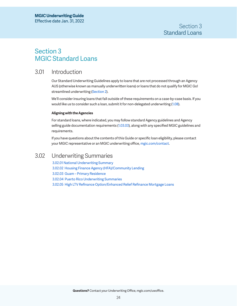# <span id="page-23-2"></span><span id="page-23-1"></span>Section 3 MGIC Standard Loans

# 3.01 Introduction

Our Standard Underwriting Guidelines apply to loans that are not processed through an Agency AUS (otherwise known as manually underwritten loans) or loans that do not qualify for MGIC Go! streamlined underwriting [\(Section 2](#page-15-1)).

We'll consider insuring loans that fall outside of these requirements on a case-by-case basis. If you would like us to consider such a loan, submit it for non-delegated underwriting [\(1.08\)](#page-12-2).

# **Aligning with the Agencies**

For standard loans, where indicated, you may follow standard Agency guidelines and Agency selling guide documentation requirements ([1.03.03\)](#page-7-1), along with any specified MGIC guidelines and requirements.

If you have questions about the contents of this Guide or specific loan eligibility, please contact your MGIC representative or an MGIC underwriting office, [mgic.com/contact.](https://www.mgic.com/contact)

# <span id="page-23-0"></span>3.02 Underwriting Summaries

[3.02.01 National Underwriting Summary](#page-24-1) [3.02.02 Housing Finance Agency \(HFA\)/Community Lending](#page-27-1) [3.02.03 Guam – Primary Residence](#page-30-1) [3.02.04 Puerto Rico Underwriting Summaries](#page-31-2) [3.02.05 High LTV Refinance Option/Enhanced Relief Refinance Mortgage Loans](#page-33-1)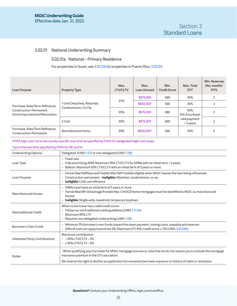# <span id="page-24-1"></span><span id="page-24-0"></span>3.02.01 National Underwriting Summary

# 3.02.01a National – Primary Residence

For properties in Guam, see [3.02.03;](#page-30-1) for properties in Puerto Rico, [3.02.04.](#page-31-2)

| Loan Purpose                                                                             | <b>Property Type</b>                             | Max.<br><b>LTV/CLTV</b> | Max.<br>Loan Amount    | Min.<br><b>Credit Score</b> | Max. Total<br>DTI <sup>3</sup> | Min. Reserves<br>(No. months'<br>PITI) |
|------------------------------------------------------------------------------------------|--------------------------------------------------|-------------------------|------------------------|-----------------------------|--------------------------------|----------------------------------------|
| Purchase, Rate/Term Refinance,<br>Construction-Permanent,<br>Home Improvement/Renovation | 1-Unit Detached, Attached,<br>Condominium, Co-Op |                         | \$975,000              | 680                         | 45%                            | 2                                      |
|                                                                                          |                                                  | 97%                     | \$650,0001             | 660                         | 45%                            |                                        |
|                                                                                          |                                                  | 95%                     | \$975,000              | 680                         | 45%:<br>41% if nonfixed-       |                                        |
|                                                                                          | 2-Unit                                           | 95%                     | \$975,000              | 680                         | rate/payment<br>< 5 years      |                                        |
| Purchase, Rate/Term Refinance,<br>Construction-Permanent                                 | Manufactured Home                                | 95%                     | \$650,000 <sup>2</sup> | 660                         | 45%                            | 2                                      |
|                                                                                          |                                                  |                         |                        |                             |                                |                                        |

#### 1 FHFA high cost: Up to the county-specific loan limit as specified by FHFA for designated high-cost areas

#### 2 Up to the loan limit specified by FHFA for AK and HI

| <b>Underwriting Options</b>    | Delegated (UWG 1.07) or non-delegated (UWG 1.08)                                                                                                                                                                                 |
|--------------------------------|----------------------------------------------------------------------------------------------------------------------------------------------------------------------------------------------------------------------------------|
| Loan Type                      | - Fixed-rate<br>- Fully amortizing ARM: Maximum 95% LTV/CLTV for ARMs with an initial term < 5 years.<br>- Balloon: Maximum 95% LTV/CLTV with an initial term of 5 years or more.                                                |
| Loan Purpose                   | - Fannie Mae RefiNow and Freddie Mac Refi Possible eligible when MGIC insures the loan being refinanced<br>- Construction-permanent- <b>Ineligible:</b> Attached, condominium, co-op<br>- Ineligible: Cash-out refinance         |
| Manufactured Homes             | - ARMs must have an initial term of 5 years or more<br>- Fannie Mae MH Advantage/Freddie Mac CHOICEHome mortgages must be identified to MGIC as manufactured<br>homes<br>- Ineligible: Single-wide, leasehold, temporary buydown |
| Nontraditional Credit          | When no borrower has a valid credit score:<br>- Follow our nontraditional credit guidelines (UWG 3.11.04)<br>- Maximum 90% LTV<br>- Requires non-delegated underwriting (UWG 1.08)                                               |
| Borrower's Own Funds           | - Minimum 3% borrower's own funds toward the down payment, closing costs, prepaids and reserves<br>- Gifts of cash can apply toward the 3%: Maximum DTI 41%; credit score $\geq$ 720 (UWG 3.10.04b)                              |
| Interested Party Contributions | Maximum contribution<br>$-$ > 90% LTV/CLTV - 3%<br>$-$ ≤ 90% LTV/CLTV - 6%                                                                                                                                                       |
| <b>Notes</b>                   | <sup>3</sup> When qualifying your borrower for MGIC mortgage insurance, note that we do not require you to include the mortgage<br>insurance premium in the DTI calculation.                                                     |
|                                | We reserve the right to decline an application for excessive borrower exposure or history of claim or rescission.                                                                                                                |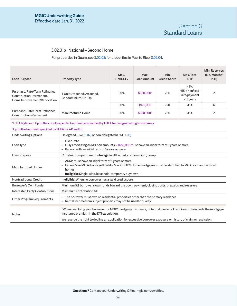# 3.02.01b National – Second Home

For properties in Guam, see [3.02.03;](#page-30-1) for properties in Puerto Rico, [3.02.04.](#page-31-2)

| Loan Purpose                                                                             | <b>Property Type</b>                             | Max.<br>LTV/CLTV | Max.<br>Loan Amount    | Min.<br><b>Credit Score</b> | Max. Total<br>DTI <sup>3</sup>                          | Min. Reserves<br>(No. months'<br>PITI) |
|------------------------------------------------------------------------------------------|--------------------------------------------------|------------------|------------------------|-----------------------------|---------------------------------------------------------|----------------------------------------|
| Purchase, Rate/Term Refinance,<br>Construction-Permanent,<br>Home Improvement/Renovation | 1-Unit Detached, Attached,<br>Condominium, Co-Op | 90%              | \$650,0001             | 700                         | 45%:<br>41% if nonfixed-<br>rate/payment<br>$< 5$ years |                                        |
|                                                                                          |                                                  | 90%              | \$975,000              | 720                         | 45%                                                     | 6                                      |
| Purchase, Rate/Term Refinance,<br>Construction-Permanent                                 | Manufactured Home                                | 90%              | \$650,000 <sup>2</sup> | 700                         | 45%                                                     |                                        |
|                                                                                          |                                                  |                  |                        |                             |                                                         |                                        |

1 FHFA high cost: Up to the county-specific loan limit as specified by FHFA for designated high-cost areas

#### 2 Up to the loan limit specified by FHFA for AK and HI

| <b>Underwriting Options</b>           | Delegated (UWG 1.07) or non-delegated (UWG 1.08)                                                                                                                                                                                                                                                  |
|---------------------------------------|---------------------------------------------------------------------------------------------------------------------------------------------------------------------------------------------------------------------------------------------------------------------------------------------------|
| Loan Type                             | - Fixed-rate<br>- Fully amortizing ARM: Loan amounts > \$650,000 must have an initial term of 5 years or more<br>Balloon with an initial term of 5 years or more                                                                                                                                  |
| Loan Purpose                          | Construction-permanent- <b>Ineligible:</b> Attached, condominium, co-op                                                                                                                                                                                                                           |
| <b>Manufactured Homes</b>             | - ARMs must have an initial term of 5 years or more<br>- Fannie Mae MH Advantage/Freddie Mac CHOICEHome mortgages must be identified to MGIC as manufactured<br>homes<br><b>Ineligible:</b> Single-wide, leasehold, temporary buydown                                                             |
| Nontraditional Credit                 | <b>Ineligible:</b> When no borrower has a valid credit score                                                                                                                                                                                                                                      |
| Borrower's Own Funds                  | Minimum 5% borrower's own funds toward the down payment, closing costs, prepaids and reserves                                                                                                                                                                                                     |
| <b>Interested Party Contributions</b> | Maximum contribution 6%                                                                                                                                                                                                                                                                           |
| Other Program Requirements            | - The borrower must own no residential properties other than the primary residence<br>Rental income from subject property may not be used to qualify<br>$\overline{\phantom{0}}$                                                                                                                  |
| Notes                                 | <sup>3</sup> When qualifying your borrower for MGIC mortgage insurance, note that we do not require you to include the mortgage<br>insurance premium in the DTI calculation.<br>We reserve the right to decline an application for excessive borrower exposure or history of claim or rescission. |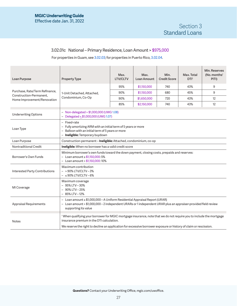# <span id="page-26-0"></span>3.02.01c National – Primary Residence, Loan Amount > \$975,000

For properties in Guam, see [3.02.03;](#page-30-1) for properties in Puerto Rico, [3.02.04.](#page-31-2)

| Loan Purpose                                              | <b>Property Type</b>                                                                                                                                                                                                   | Max.<br><b>LTV/CLTV</b> | Max.<br>Loan Amount | Min.<br><b>Credit Score</b> | Max. Total<br>DTI <sup>1</sup> | Min. Reserves<br>(No. months'<br>PITI) |
|-----------------------------------------------------------|------------------------------------------------------------------------------------------------------------------------------------------------------------------------------------------------------------------------|-------------------------|---------------------|-----------------------------|--------------------------------|----------------------------------------|
|                                                           |                                                                                                                                                                                                                        | 95%                     | \$1,150,000         | 740                         | 43%                            | 9                                      |
| Purchase, Rate/Term Refinance,<br>Construction-Permanent, | 1-Unit Detached, Attached,                                                                                                                                                                                             | 90%                     | \$1,150,000         | 680                         | 45%                            | 9                                      |
| Home Improvement/Renovation                               | Condominium, Co-Op                                                                                                                                                                                                     | 90%                     | \$1,650,000         | 720                         | 43%                            | 12                                     |
|                                                           |                                                                                                                                                                                                                        | 85%                     | \$2,150,000         | 740                         | 43%                            | 12                                     |
| <b>Underwriting Options</b>                               | - Non-delegated > \$1,000,000 (UWG 1.08)<br>- Delegated < \$1,000,000 (UWG 1.07)                                                                                                                                       |                         |                     |                             |                                |                                        |
| Loan Type                                                 | - Fixed-rate<br>- Fully amortizing ARM with an initial term of 5 years or more<br>- Balloon with an initial term of 5 years or more<br>- Ineligible: Temporary buydown                                                 |                         |                     |                             |                                |                                        |
| Loan Purpose                                              | Construction-permanent-Ineligible: Attached, condominium, co-op                                                                                                                                                        |                         |                     |                             |                                |                                        |
| Nontraditional Credit                                     | Ineligible: When no borrower has a valid credit score                                                                                                                                                                  |                         |                     |                             |                                |                                        |
| Borrower's Own Funds                                      | Minimum borrower's own funds toward the down payment, closing costs, prepaids and reserves:<br>- Loan amount $\leq$ \$1,150,000:5%<br>$-$ Loan amount $> $1,150,000:10\%$                                              |                         |                     |                             |                                |                                        |
| Interested Party Contributions                            | Maximum contribution<br>$-$ > 90% LTV/CLTV - 3%<br>$-$ ≤ 90% LTV/CLTV - 6%                                                                                                                                             |                         |                     |                             |                                |                                        |
| MI Coverage                                               | Maximum coverage<br>$-95\%$ LTV $-30\%$<br>$-90\%$ LTV $-25\%$<br>$-85\%$ LTV $-12\%$                                                                                                                                  |                         |                     |                             |                                |                                        |
| <b>Appraisal Requirements</b>                             | - Loan amount ≤ \$1,000,000 - A Uniform Residential Appraisal Report (URAR)<br>- Loan amount > \$1,000,000 - 2 independent URARs or 1 independent URAR plus an appraiser-provided field review<br>supporting its value |                         |                     |                             |                                |                                        |
| <b>Notes</b>                                              | <sup>1</sup> When qualifying your borrower for MGIC mortgage insurance, note that we do not require you to include the mortgage<br>insurance premium in the DTI calculation.                                           |                         |                     |                             |                                |                                        |
|                                                           | We reserve the right to decline an application for excessive borrower exposure or history of claim or rescission.                                                                                                      |                         |                     |                             |                                |                                        |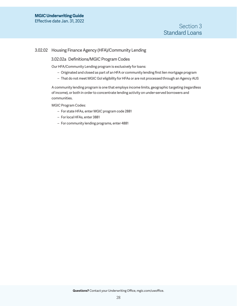# <span id="page-27-1"></span><span id="page-27-0"></span>3.02.02 Housing Finance Agency (HFA)/Community Lending

## 3.02.02a Definitions/MGIC Program Codes

Our HFA/Community Lending program is exclusively for loans:

- Originated and closed as part of an HFA or community lending first lien mortgage program
- That do not meet MGIC Go! eligibility for HFAs or are not processed through an Agency AUS

A community lending program is one that employs income limits, geographic targeting (regardless of income), or both in order to concentrate lending activity on under-served borrowers and communities.

MGIC Program Codes:

- For state HFAs, enter MGIC program code 2881
- For local HFAs, enter 3881
- For community lending programs, enter 4881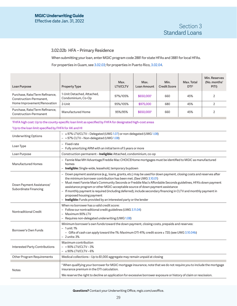# 3.02.02b HFA – Primary Residence

When submitting your loan, enter MGIC program code 2881 for state HFAs and 3881 for local HFAs.

For properties in Guam, see [3.02.03;](#page-30-1) for properties in Puerto Rico, [3.02.04.](#page-31-2)

| Loan Purpose                                                                             | <b>Property Type</b>                             | Max.<br><b>LTV/CLTV</b> | Max.<br>Loan Amount    | Min.<br><b>Credit Score</b> | Max. Total<br>DTI <sup>3</sup> | Min. Reserves<br>(No. months'<br>PITI) |
|------------------------------------------------------------------------------------------|--------------------------------------------------|-------------------------|------------------------|-----------------------------|--------------------------------|----------------------------------------|
| Purchase, Rate/Term Refinance,<br>Construction-Permanent,<br>Home Improvement/Renovation | 1-Unit Detached, Attached,<br>Condominium, Co-Op | 97%/105%                | \$650,0001             | 660                         | 45%                            |                                        |
|                                                                                          | 2-Unit                                           | 95%/105%                | \$975,000              | 680                         | 45%                            |                                        |
| Purchase, Rate/Term Refinance,<br>Construction-Permanent                                 | Manufactured Home                                | 95%/95%                 | \$650,000 <sup>2</sup> | 660                         | 45%                            |                                        |

1 FHFA high cost: Up to the county-specific loan limit as specified by FHFA for designated high-cost areas

#### 2 Up to the loan limit specified by FHFA for AK and HI

| - ≤ 97% LTV/CLTV - Delegated (UWG 1.07) or non-delegated (UWG 1.08)<br>- > 97% CLTV - Non-delegated (UWG 1.08)                                                                                                                                                                                                                                                                                                                                                                                                                                                                                                |
|---------------------------------------------------------------------------------------------------------------------------------------------------------------------------------------------------------------------------------------------------------------------------------------------------------------------------------------------------------------------------------------------------------------------------------------------------------------------------------------------------------------------------------------------------------------------------------------------------------------|
| - Fixed-rate<br>- Fully amortizing ARM with an initial term of 5 years or more                                                                                                                                                                                                                                                                                                                                                                                                                                                                                                                                |
| Construction-permanent- <b>Ineligible:</b> Attached, condominium, co-op                                                                                                                                                                                                                                                                                                                                                                                                                                                                                                                                       |
| - Fannie Mae MH Advantage/Freddie Mac CHOICEHome mortgages must be identified to MGIC as manufactured<br>homes<br><b>Ineligible:</b> Single-wide, leasehold, temporary buydown                                                                                                                                                                                                                                                                                                                                                                                                                                |
| - Down payment assistance (e.g., loans, grants, etc.) may be used for down payment, closing costs and reserves after<br>the minimum borrower contribution has been met. (See UWG 3.10.01)<br>Must meet Fannie Mae's Community Seconds or Freddie Mac's Affordable Seconds guidelines, HFA's down payment<br>assistance program or other MGIC-acceptable source of down payment assistance<br>If monthly payment is required (including deferred), include secondary financing in CLTV and monthly payment in<br>proposed housing payment<br>- Ineligible: Funds provided by an interested party or the lender |
| When no borrower has a valid credit score:<br>- Follow our nontraditional credit guidelines (UWG 3.11.04)<br>- Maximum 90% LTV<br>- Requires non-delegated underwriting (UWG 1.08)                                                                                                                                                                                                                                                                                                                                                                                                                            |
| Minimum borrower's own funds toward the down payment, closing costs, prepaids and reserves:<br>$-1$ unit: 1%<br>- Gifts of cash can apply toward the 1%: Maximum DTI 41%; credit score ≥ 720; (see UWG 3.10.04b)<br>$-2$ units: $3%$                                                                                                                                                                                                                                                                                                                                                                          |
| Maximum contribution<br>$-$ > 90% LTV/CLTV - 3%<br>$-$ ≤ 90% LTV/CLTV - 6%                                                                                                                                                                                                                                                                                                                                                                                                                                                                                                                                    |
| Medical collections - Up to \$1,000 aggregate may remain unpaid at closing                                                                                                                                                                                                                                                                                                                                                                                                                                                                                                                                    |
| <sup>3</sup> When qualifying your borrower for MGIC mortgage insurance, note that we do not require you to include the mortgage<br>insurance premium in the DTI calculation.<br>We reserve the right to decline an application for excessive borrower exposure or history of claim or rescission.                                                                                                                                                                                                                                                                                                             |
|                                                                                                                                                                                                                                                                                                                                                                                                                                                                                                                                                                                                               |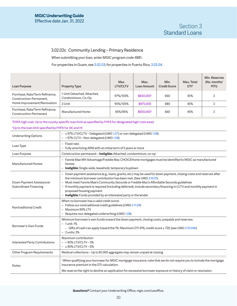# 3.02.02c Community Lending – Primary Residence

When submitting your loan, enter MGIC program code 4881.

For properties in Guam, see [3.02.03;](#page-30-1) for properties in Puerto Rico, [3.02.04.](#page-31-2)

| Loan Purpose                                                                             | <b>Property Type</b>                             | Max.<br><b>LTV/CLTV</b> | Max.<br>Loan Amount    | Min.<br><b>Credit Score</b> | Max. Total<br>DTI <sup>3</sup> | Min. Reserves<br>(No. months'<br>PITI) |
|------------------------------------------------------------------------------------------|--------------------------------------------------|-------------------------|------------------------|-----------------------------|--------------------------------|----------------------------------------|
| Purchase, Rate/Term Refinance,<br>Construction-Permanent,<br>Home Improvement/Renovation | 1-Unit Detached, Attached,<br>Condominium, Co-Op | 97%/105%                | \$650,0001             | 660                         | 45%                            |                                        |
|                                                                                          | 2-Unit                                           | 95%/105%                | \$975,000              | 680                         | 45%                            |                                        |
| Purchase, Rate/Term Refinance,<br>Construction-Permanent                                 | Manufactured Home                                | 95%/95%                 | \$650,000 <sup>2</sup> | 660                         | 45%                            |                                        |

1 FHFA high cost: Up to the county-specific loan limit as specified by FHFA for designated high-cost areas

#### 2 Up to the loan limit specified by FHFA for AK and HI

| <b>Underwriting Options</b>                       | - ≤ 97% LTV/CLTV - Delegated (UWG 1.07) or non-delegated (UWG 1.08)<br>- > 97% CLTV - Non-delegated (UWG 1.08)                                                                                                                                                                                                                                                                                                                                                                                               |
|---------------------------------------------------|--------------------------------------------------------------------------------------------------------------------------------------------------------------------------------------------------------------------------------------------------------------------------------------------------------------------------------------------------------------------------------------------------------------------------------------------------------------------------------------------------------------|
| Loan Type                                         | - Fixed-rate<br>- Fully amortizing ARM with an initial term of 5 years or more                                                                                                                                                                                                                                                                                                                                                                                                                               |
| Loan Purpose                                      | Construction-permanent- <b>Ineligible:</b> Attached, condominium, co-op                                                                                                                                                                                                                                                                                                                                                                                                                                      |
| Manufactured Homes                                | - Fannie Mae MH Advantage/Freddie Mac CHOICEHome mortgages must be identified to MGIC as manufactured<br>homes<br>- Ineligible: Single-wide, leasehold, temporary buydown                                                                                                                                                                                                                                                                                                                                    |
| Down Payment Assistance/<br>Subordinate Financing | - Down payment assistance (e.g., loans, grants, etc.) may be used for down payment, closing costs and reserves after<br>the minimum borrower contribution has been met. (See UWG 3.10.01)<br>- Must meet Fannie Mae's Community Seconds or Freddie Mac's Affordable Seconds guidelines<br>- If monthly payment is required (including deferred), include secondary financing in CLTV and monthly payment in<br>proposed housing payment<br>- Ineligible: Funds provided by an interested party or the lender |
| Nontraditional Credit                             | When no borrower has a valid credit score:<br>- Follow our nontraditional credit guidelines (UWG 3.11.04)<br>- Maximum 90% LTV<br>- Requires non-delegated underwriting (UWG 1.08)                                                                                                                                                                                                                                                                                                                           |
| Borrower's Own Funds                              | Minimum borrower's own funds toward the down payment, closing costs, prepaids and reserves:<br>$-1$ unit: 1%<br>- Gifts of cash can apply toward the 1%: Maximum DTI 41%; credit score $\geq$ 720; (see UWG 3.10.04b)<br>$-2$ units: $3%$                                                                                                                                                                                                                                                                    |
| Interested Party Contributions                    | Maximum contribution<br>$-$ > 90% LTV/CLTV - 3%<br>$-$ ≤ 90% LTV/CLTV - 6%                                                                                                                                                                                                                                                                                                                                                                                                                                   |
| Other Program Requirements                        | Medical collections - Up to \$1,000 aggregate may remain unpaid at closing                                                                                                                                                                                                                                                                                                                                                                                                                                   |
| Notes                                             | <sup>3</sup> When qualifying your borrower for MGIC mortgage insurance, note that we do not require you to include the mortgage<br>insurance premium in the DTI calculation.<br>We reserve the right to decline an application for excessive borrower exposure or history of claim or rescission.                                                                                                                                                                                                            |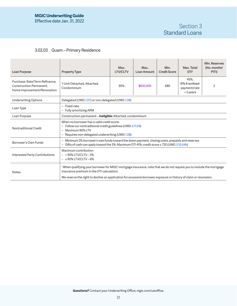# Section 3 Standard Loans

# <span id="page-30-1"></span><span id="page-30-0"></span>3.02.03 Guam – Primary Residence

| Loan Purpose                                                                             | <b>Property Type</b>                                                                                                                                                                                | Max.<br>LTV/CLTV                                                                                                  | Max.<br>Loan Amount | Min.<br><b>Credit Score</b> | Max. Total<br>DTI <sup>1</sup>                        | Min. Reserves<br>(No. months'<br>PITI) |  |
|------------------------------------------------------------------------------------------|-----------------------------------------------------------------------------------------------------------------------------------------------------------------------------------------------------|-------------------------------------------------------------------------------------------------------------------|---------------------|-----------------------------|-------------------------------------------------------|----------------------------------------|--|
| Purchase, Rate/Term Refinance,<br>Construction-Permanent.<br>Home Improvement/Renovation | 1-Unit Detached, Attached,<br>Condominium                                                                                                                                                           | 95%                                                                                                               | \$650,000           | 680                         | 45%,<br>41% if nonfixed-<br>payment/rate<br>< 5 years | 2                                      |  |
| <b>Underwriting Options</b>                                                              | Delegated (UWG 1.07) or non-delegated (UWG 1.08)                                                                                                                                                    |                                                                                                                   |                     |                             |                                                       |                                        |  |
| Loan Type                                                                                | - Fixed-rate<br>- Fully amortizing ARM                                                                                                                                                              |                                                                                                                   |                     |                             |                                                       |                                        |  |
| Loan Purpose                                                                             |                                                                                                                                                                                                     | Construction-permanent-Ineligible: Attached, condominium                                                          |                     |                             |                                                       |                                        |  |
| Nontraditional Credit                                                                    | When no borrower has a valid credit score:<br>- Follow our nontraditional credit guidelines (UWG 3.11.04)<br>- Maximum 90% LTV<br>- Requires non-delegated underwriting (UWG 1.08)                  |                                                                                                                   |                     |                             |                                                       |                                        |  |
| Borrower's Own Funds                                                                     | - Minimum 3% borrower's own funds toward the down payment, closing costs, prepaids and reserves<br>- Gifts of cash can apply toward the 3%: Maximum DTI 41%; credit score $\geq$ 720 (UWG 3.10.04b) |                                                                                                                   |                     |                             |                                                       |                                        |  |
| Interested Party Contributions                                                           | Maximum contribution<br>$-$ > 90% LTV/CLTV - 3%<br>$ \leq$ 90% LTV/CLTV – 6%                                                                                                                        |                                                                                                                   |                     |                             |                                                       |                                        |  |
| <b>Notes</b>                                                                             | <sup>1</sup> When qualifying your borrower for MGIC mortgage insurance, note that we do not require you to include the mortgage<br>insurance premium in the DTI calculation.                        |                                                                                                                   |                     |                             |                                                       |                                        |  |
|                                                                                          |                                                                                                                                                                                                     | We reserve the right to decline an application for excessive borrower exposure or history of claim or rescission. |                     |                             |                                                       |                                        |  |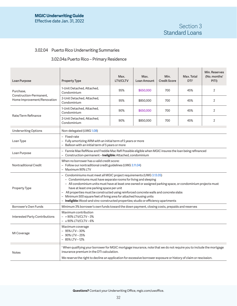# <span id="page-31-2"></span><span id="page-31-1"></span>3.02.04 Puerto Rico Underwriting Summaries

# <span id="page-31-0"></span>3.02.04a Puerto Rico – Primary Residence

| Loan Purpose                                           | <b>Property Type</b>                                                                                                                                                                                                                                                                                                                                                                                                                                                                                                                                         | Max.<br><b>LTV/CLTV</b>                                                                                             | Max.<br>Loan Amount | Min.<br><b>Credit Score</b> | Max. Total<br>DTI <sup>1</sup> | Min. Reserves<br>(No. months'<br>PITI) |
|--------------------------------------------------------|--------------------------------------------------------------------------------------------------------------------------------------------------------------------------------------------------------------------------------------------------------------------------------------------------------------------------------------------------------------------------------------------------------------------------------------------------------------------------------------------------------------------------------------------------------------|---------------------------------------------------------------------------------------------------------------------|---------------------|-----------------------------|--------------------------------|----------------------------------------|
| Purchase,                                              | 1-Unit Detached, Attached,<br>Condominium                                                                                                                                                                                                                                                                                                                                                                                                                                                                                                                    | 95%                                                                                                                 | \$650,000           | 700                         | 45%                            | $\overline{2}$                         |
| Construction-Permanent,<br>Home Improvement/Renovation | 2-Unit Detached, Attached,<br>Condominium                                                                                                                                                                                                                                                                                                                                                                                                                                                                                                                    | 95%                                                                                                                 | \$850,000           | 700                         | 45%                            | $\overline{2}$                         |
| Rate/Term Refinance                                    | 1-Unit Detached, Attached,<br>Condominium                                                                                                                                                                                                                                                                                                                                                                                                                                                                                                                    | 90%                                                                                                                 | \$650,000           | 700                         | 45%                            | $\overline{2}$                         |
|                                                        | 2-Unit Detached, Attached,<br>Condominium                                                                                                                                                                                                                                                                                                                                                                                                                                                                                                                    | 90%                                                                                                                 | \$850,000           | 700                         | 45%                            | $\overline{2}$                         |
| <b>Underwriting Options</b>                            | Non-delegated (UWG 1.08)                                                                                                                                                                                                                                                                                                                                                                                                                                                                                                                                     |                                                                                                                     |                     |                             |                                |                                        |
| Loan Type                                              | - Fixed-rate                                                                                                                                                                                                                                                                                                                                                                                                                                                                                                                                                 | – Fully amortizing ARM with an initial term of 5 years or more<br>- Balloon with an initial term of 5 years or more |                     |                             |                                |                                        |
| Loan Purpose                                           | - Fannie Mae RefiNow and Freddie Mac Refi Possible eligible when MGIC insures the loan being refinanced<br>- Construction-permanent-Ineligible: Attached, condominium                                                                                                                                                                                                                                                                                                                                                                                        |                                                                                                                     |                     |                             |                                |                                        |
| Nontraditional Credit                                  | When no borrower has a valid credit score:<br>- Follow our nontraditional credit guidelines (UWG 3.11.04)<br>- Maximum 90% LTV                                                                                                                                                                                                                                                                                                                                                                                                                               |                                                                                                                     |                     |                             |                                |                                        |
| Property Type                                          | - Condominiums must meet all MGIC project requirements (UWG 3.13.05)<br>- Condominiums must have separate rooms for living and sleeping<br>- All condominium units must have at least one owned or assigned parking space, or condominium projects must<br>have at least one parking space per unit<br>- All properties must be constructed using reinforced concrete walls and concrete slabs<br>- Minimum 500 square feet of living area for attached housing units<br>- Ineligible: Wood-and-zinc-constructed properties; studio or efficiency apartments |                                                                                                                     |                     |                             |                                |                                        |
| Borrower's Own Funds                                   | Minimum 3% borrower's own funds toward the down payment, closing costs, prepaids and reserves                                                                                                                                                                                                                                                                                                                                                                                                                                                                |                                                                                                                     |                     |                             |                                |                                        |
| <b>Interested Party Contributions</b>                  | Maximum contribution<br>- > 90% LTV/CLTV-3%<br>$ \leq$ 90% LTV/CLTV – 6%                                                                                                                                                                                                                                                                                                                                                                                                                                                                                     |                                                                                                                     |                     |                             |                                |                                        |
| MI Coverage                                            | Maximum coverage<br>$-95\%$ LTV $-30\%$<br>$-90\%$ LTV $-25\%$<br>$-85\%$ LTV $-12\%$                                                                                                                                                                                                                                                                                                                                                                                                                                                                        |                                                                                                                     |                     |                             |                                |                                        |
| <b>Notes</b>                                           | <sup>1</sup> When qualifying your borrower for MGIC mortgage insurance, note that we do not require you to include the mortgage<br>insurance premium in the DTI calculation.<br>We reserve the right to decline an application for excessive borrower exposure or history of claim or rescission.                                                                                                                                                                                                                                                            |                                                                                                                     |                     |                             |                                |                                        |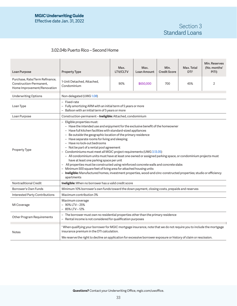# Section 3 Standard Loans

# <span id="page-32-0"></span>3.02.04b Puerto Rico – Second Home

| Loan Purpose                                                                             | <b>Property Type</b>                                                                                                                                                                                                                                                                                                                                                                                                                                                                                                                                                                                                                                                                                                                                                                                                                                                                                                     | Max.<br><b>LTV/CLTV</b>                                                                                             | Max.<br>Loan Amount | Min.<br><b>Credit Score</b> | Max. Total<br>DTI <sup>1</sup> | Min. Reserves<br>(No. months'<br>PITI) |  |
|------------------------------------------------------------------------------------------|--------------------------------------------------------------------------------------------------------------------------------------------------------------------------------------------------------------------------------------------------------------------------------------------------------------------------------------------------------------------------------------------------------------------------------------------------------------------------------------------------------------------------------------------------------------------------------------------------------------------------------------------------------------------------------------------------------------------------------------------------------------------------------------------------------------------------------------------------------------------------------------------------------------------------|---------------------------------------------------------------------------------------------------------------------|---------------------|-----------------------------|--------------------------------|----------------------------------------|--|
| Purchase, Rate/Term Refinance,<br>Construction-Permanent,<br>Home Improvement/Renovation | 1-Unit Detached, Attached,<br>Condominium                                                                                                                                                                                                                                                                                                                                                                                                                                                                                                                                                                                                                                                                                                                                                                                                                                                                                | 90%                                                                                                                 | \$650,000           | 700                         | 45%                            | 2                                      |  |
| <b>Underwriting Options</b>                                                              | Non-delegated (UWG 1.08)                                                                                                                                                                                                                                                                                                                                                                                                                                                                                                                                                                                                                                                                                                                                                                                                                                                                                                 |                                                                                                                     |                     |                             |                                |                                        |  |
| Loan Type                                                                                | - Fixed-rate                                                                                                                                                                                                                                                                                                                                                                                                                                                                                                                                                                                                                                                                                                                                                                                                                                                                                                             | - Fully amortizing ARM with an initial term of 5 years or more<br>- Balloon with an initial term of 5 years or more |                     |                             |                                |                                        |  |
| Loan Purpose                                                                             | Construction-permanent-Ineligible: Attached, condominium                                                                                                                                                                                                                                                                                                                                                                                                                                                                                                                                                                                                                                                                                                                                                                                                                                                                 |                                                                                                                     |                     |                             |                                |                                        |  |
| <b>Property Type</b>                                                                     | - Eligible properties must:<br>- Have the intended use and enjoyment for the exclusive benefit of the homeowner<br>- Have full kitchen facilities with standard-sized appliances<br>- Be outside the geographic location of the primary residence<br>- Have separate rooms for living and sleeping<br>- Have no lock-out bedrooms<br>- Not be part of a rental pool agreement<br>- Condominiums must meet all MGIC project requirements (UWG 3.13.05)<br>- All condominium units must have at least one owned or assigned parking space, or condominium projects must<br>have at least one parking space per unit<br>- All properties must be constructed using reinforced concrete walls and concrete slabs<br>- Minimum 500 square feet of living area for attached housing units<br>- Ineligible: Manufactured homes, investment properties, wood-and-zinc-constructed properties; studio or efficiency<br>apartments |                                                                                                                     |                     |                             |                                |                                        |  |
| Nontraditional Credit                                                                    | Ineligible: When no borrower has a valid credit score                                                                                                                                                                                                                                                                                                                                                                                                                                                                                                                                                                                                                                                                                                                                                                                                                                                                    |                                                                                                                     |                     |                             |                                |                                        |  |
| Borrower's Own Funds                                                                     | Minimum 10% borrower's own funds toward the down payment, closing costs, prepaids and reserves                                                                                                                                                                                                                                                                                                                                                                                                                                                                                                                                                                                                                                                                                                                                                                                                                           |                                                                                                                     |                     |                             |                                |                                        |  |
| Interested Party Contributions                                                           | Maximum contribution 3%                                                                                                                                                                                                                                                                                                                                                                                                                                                                                                                                                                                                                                                                                                                                                                                                                                                                                                  |                                                                                                                     |                     |                             |                                |                                        |  |
| MI Coverage                                                                              | Maximum coverage<br>$-90\%$ LTV $-25\%$<br>$-85\%$ LTV $-12\%$                                                                                                                                                                                                                                                                                                                                                                                                                                                                                                                                                                                                                                                                                                                                                                                                                                                           |                                                                                                                     |                     |                             |                                |                                        |  |
| Other Program Requirements                                                               | - The borrower must own no residential properties other than the primary residence<br>- Rental income is not considered for qualification purposes                                                                                                                                                                                                                                                                                                                                                                                                                                                                                                                                                                                                                                                                                                                                                                       |                                                                                                                     |                     |                             |                                |                                        |  |
| Notes                                                                                    | <sup>1</sup> When qualifying your borrower for MGIC mortgage insurance, note that we do not require you to include the mortgage<br>insurance premium in the DTI calculation.<br>We reserve the right to decline an application for excessive borrower exposure or history of claim or rescission.                                                                                                                                                                                                                                                                                                                                                                                                                                                                                                                                                                                                                        |                                                                                                                     |                     |                             |                                |                                        |  |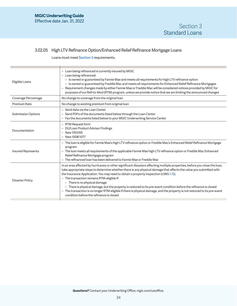# <span id="page-33-1"></span><span id="page-33-0"></span>3.02.05 High LTV Refinance Option/Enhanced Relief Refinance Mortgage Loans

Loans must meet [Section 3](#page-23-2) requirements.

| Eligible Loans            | - Loan being refinanced is currently insured by MGIC<br>- Loan being refinanced:<br>- Is owned or guaranteed by Fannie Mae and meets all requirements for high LTV refinance option<br>- Is owned or guaranteed by Freddie Mac and meets all requirements for Enhanced Relief Refinance Mortgages<br>- Requirement changes made by either Fannie Mae or Freddie Mac will be considered notices provided by MGIC for<br>purposes of our Refi-to-Mod (RTM) program, unless we provide notice that we are limiting the announced changes                                                                                                                                                                                    |
|---------------------------|--------------------------------------------------------------------------------------------------------------------------------------------------------------------------------------------------------------------------------------------------------------------------------------------------------------------------------------------------------------------------------------------------------------------------------------------------------------------------------------------------------------------------------------------------------------------------------------------------------------------------------------------------------------------------------------------------------------------------|
| Coverage Percentage       | No change to coverage from the original loan                                                                                                                                                                                                                                                                                                                                                                                                                                                                                                                                                                                                                                                                             |
| Premium Rate              | No change to existing premium from original loan                                                                                                                                                                                                                                                                                                                                                                                                                                                                                                                                                                                                                                                                         |
| <b>Submission Options</b> | - Send data via the Loan Center<br>- Send PDFs of the documents listed below through the Loan Center<br>- Fax the documents listed below to your MGIC Underwriting Service Center                                                                                                                                                                                                                                                                                                                                                                                                                                                                                                                                        |
| Documentation             | - RTM Request form<br>- DU/Loan Product Advisor Findings<br>- New 1003/65<br>- New 1008/1077                                                                                                                                                                                                                                                                                                                                                                                                                                                                                                                                                                                                                             |
| <b>Insured Represents</b> | - The loan is eligible for Fannie Mae's high LTV refinance option or Freddie Mac's Enhanced Relief Refinance Mortgage<br>program<br>- The loan meets all requirements of the applicable Fannie Mae high LTV refinance option or Freddie Mac Enhanced<br>Relief Refinance Mortgage program<br>- The refinanced loan has been delivered to Fannie Mae or Freddie Mac                                                                                                                                                                                                                                                                                                                                                       |
| Disaster Policy           | In an area affected by hurricanes or other significant disasters affecting multiple properties, before you close the loan,<br>take appropriate steps to determine whether there is any physical damage that affects the value you submitted with<br>the Insurance Application. You may need to obtain a property inspection (UWG 1.13).<br>- The transaction remains RTM-eligible if:<br>$-$ There is no physical damage<br>- There is physical damage, but the property is restored to its pre-event condition before the refinance is closed<br>- The transaction is no longer RTM-eligible if there is physical damage, and the property is not restored to its pre-event<br>condition before the refinance is closed |
|                           |                                                                                                                                                                                                                                                                                                                                                                                                                                                                                                                                                                                                                                                                                                                          |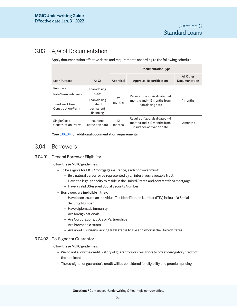# <span id="page-34-0"></span>3.03 Age of Documentation

Apply documentation effective dates and requirements according to the following schedule:

|                                                |                                                   | Documentation Type          |                                                                                                  |                            |  |
|------------------------------------------------|---------------------------------------------------|-----------------------------|--------------------------------------------------------------------------------------------------|----------------------------|--|
| Loan Purpose                                   | $As$ Of                                           | Appraisal                   | <b>Appraisal Recertification</b>                                                                 | All Other<br>Documentation |  |
| Purchase                                       | Loan closing                                      |                             |                                                                                                  |                            |  |
| Rate/Term Refinance                            | date                                              |                             | Required if appraisal dated > 4                                                                  |                            |  |
| Two-Time Close<br>Construction-Perm            | Loan closing<br>date of<br>permanent<br>financing | $12 \overline{ }$<br>months | months and $\leq 12$ months from<br>loan closing date                                            | 4 months                   |  |
| Single Close<br>Construction-Perm <sup>*</sup> | Insurance<br>activation date                      | 12<br>months                | Required if appraisal dated > 6<br>months and $\leq 12$ months from<br>insurance activation date | 12 months                  |  |

\*See [3.06.04](#page-38-1) for additional documentation requirements.

# 3.04 Borrowers

# 3.04.01 General Borrower Eligibility

Follow these MGIC guidelines:

- To be eligible for MGIC mortgage insurance, each borrower must:
	- Be a natural person or be represented by an inter vivos revocable trust
	- Have the legal capacity to reside in the United States and contract for a mortgage
	- Have a valid US-issued Social Security Number
- Borrowers are **ineligible** if they:
	- Have been issued an Individual Tax Identification Number (ITIN) in lieu of a Social Security Number
	- Have diplomatic immunity
	- Are foreign nationals
	- Are Corporations, LLCs or Partnerships
	- Are irrevocable trusts
	- Are non-US citizens lacking legal status to live and work in the United States

# 3.04.02 Co-Signer or Guarantor

Follow these MGIC guidelines:

- We do not allow the credit history of guarantors or co-signors to offset derogatory credit of the applicant
- The co-signer or guarantor's credit will be considered for eligibility and premium pricing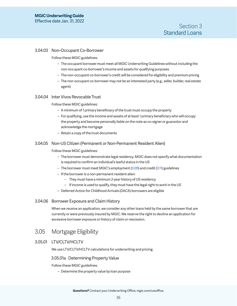### <span id="page-35-1"></span><span id="page-35-0"></span>3.04.03 Non-Occupant Co-Borrower

Follow these MGIC guidelines:

- The occupant borrower must meet all MGIC Underwriting Guidelines without including the non-occupant co-borrower's income and assets for qualifying purposes
- The non-occupant co-borrower's credit will be considered for eligibility and premium pricing
- The non-occupant co-borrower may not be an interested party (e.g., seller, builder, real estate agent)

#### 3.04.04 Inter Vivos Revocable Trust

### Follow these MGIC guidelines:

- A minimum of 1 primary beneficiary of the trust must occupy the property
- For qualifying, use the income and assets of at least 1 primary beneficiary who will occupy the property and become personally liable on the note as co-signer or guarantor and acknowledge the mortgage
- Retain a copy of the trust documents

### 3.04.05 Non-US Citizen (Permanent or Non-Permanent Resident Alien)

#### Follow these MGIC guidelines:

- The borrower must demonstrate legal residency. MGIC does not specify what documentation is required to confirm an individual's lawful status in the US
- The borrower must meet MGIC's employment ([3.09](#page-42-1)) and credit [\(3.11](#page-48-1)) guidelines
- If the borrower is a non-permanent resident alien:
	- They must have a minimum 2-year history of US residency
	- If income is used to qualify, they must have the legal right to work in the US
- Deferred Action for Childhood Arrivals (DACA) borrowers are eligible

#### 3.04.06 Borrower Exposure and Claim History

When we receive an application, we consider any other loans held by the same borrower that are currently or were previously insured by MGIC. We reserve the right to decline an application for excessive borrower exposure or history of claim or rescission.

# 3.05 Mortgage Eligibility

## <span id="page-35-2"></span>3.05.01 LTV/CLTV/HCLTV

We use LTV/CLTV/HCLTV calculations for underwriting and pricing.

#### 3.05.01a Determining Property Value

Follow these MGIC guidelines:

– Determine the property value by loan purpose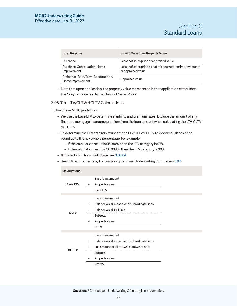| Loan Purpose                                            | How to Determine Property Value                                                 |
|---------------------------------------------------------|---------------------------------------------------------------------------------|
| Purchase                                                | Lesser of sales price or appraised value                                        |
| Purchase: Construction, Home<br>Improvement             | Lesser of sales price + cost of construction/improvements<br>or appraised value |
| Refinance: Rate/Term, Construction,<br>Home Improvement | Appraised value                                                                 |

– Note that upon application, the property value represented in that application establishes the "original value" as defined by our Master Policy

# 3.05.01b LTV/CLTV/HCLTV Calculations

Follow these MGIC guidelines:

- We use the base LTV to determine eligibility and premium rates. Exclude the amount of any financed mortgage insurance premium from the loan amount when calculating the LTV, CLTV or HCLTV
- To determine the LTV category, truncate the LTV/CLTV/HCLTV to 2 decimal places, then round up to the next whole percentage. For example:
	- If the calculation result is 95.010%, then the LTV category is 97%
	- If the calculation result is 90.009%, then the LTV category is 90%
- If property is in New York State, see [3.05.04](#page-37-1)
- See LTV requirements by transaction type in our Underwriting Summaries ([3.02\)](#page-23-0)

| <b>Calculations</b> |                                                          |  |
|---------------------|----------------------------------------------------------|--|
|                     | Base loan amount                                         |  |
| <b>Base LTV</b>     | Property value<br>÷                                      |  |
|                     | <b>Base LTV</b>                                          |  |
|                     |                                                          |  |
|                     | Base loan amount                                         |  |
|                     | Balance on all closed-end subordinate liens<br>$\ddot{}$ |  |
| <b>CLTV</b>         | Balance on all HELOCs<br>÷                               |  |
|                     | Subtotal                                                 |  |
|                     | Property value<br>÷                                      |  |
|                     | <b>CLTV</b>                                              |  |
|                     | Base loan amount                                         |  |
|                     |                                                          |  |
| <b>HCLTV</b>        | Balance on all closed-end subordinate liens<br>$\ddot{}$ |  |
|                     | Full amount of all HELOCs (drawn or not)<br>+            |  |
|                     | Subtotal                                                 |  |
|                     | Property value<br>÷                                      |  |
|                     | <b>HCLTV</b>                                             |  |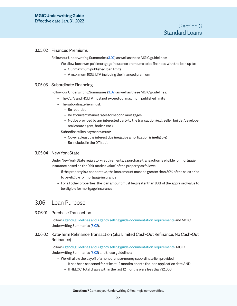## <span id="page-37-0"></span>3.05.02 Financed Premiums

Follow our Underwriting Summaries ([3.02\)](#page-23-0) as well as these MGIC guidelines:

- We allow borrower-paid mortgage insurance premiums to be financed with the loan up to:
	- Our maximum published loan limits
	- A maximum 103% LTV, including the financed premium

## <span id="page-37-4"></span>3.05.03 Subordinate Financing

Follow our Underwriting Summaries ([3.02\)](#page-23-0) as well as these MGIC guidelines:

- The CLTV and HCLTV must not exceed our maximum published limits
- The subordinate lien must:
	- Be recorded
	- Be at current market rates for second mortgages
	- Not be provided by any interested party to the transaction (e.g., seller, builder/developer, real estate agent, broker, etc.)
- Subordinate lien payments must:
	- Cover at least the interest due (negative amortization is **ineligible**)
	- Be included in the DTI ratio

# <span id="page-37-1"></span>3.05.04 New York State

Under New York State regulatory requirements, a purchase transaction is eligible for mortgage insurance based on the "fair market value" of the property as follows:

- If the property is a cooperative, the loan amount must be greater than 80% of the sales price to be eligible for mortgage insurance
- For all other properties, the loan amount must be greater than 80% of the appraised value to be eligible for mortgage insurance

# 3.06 Loan Purpose

<span id="page-37-2"></span>3.06.01 Purchase Transaction

Follow Agency guidelines and Agency selling guide documentation requirements and MGIC Underwriting Summaries [\(3.02](#page-23-0)).

<span id="page-37-3"></span>3.06.02 Rate-Term Refinance Transaction (aka Limited Cash-Out Refinance, No Cash-Out Refinance)

> Follow Agency guidelines and Agency selling guide documentation requirements, MGIC Underwriting Summaries [\(3.02](#page-23-0)) and these guidelines:

- We will allow the payoff of a nonpurchase-money subordinate lien provided:
	- It has been seasoned for at least 12 months prior to the loan application date AND
	- If HELOC, total draws within the last 12 months were less than \$2,000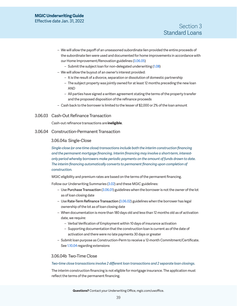- <span id="page-38-0"></span>– We will allow the payoff of an unseasoned subordinate lien provided the entire proceeds of the subordinate lien were used and documented for home improvements in accordance with our Home Improvement/Renovation guidelines ([3.06.05](#page-39-1))
	- Submit the subject loan for non-delegated underwriting [\(1.08](#page-12-2))
- We will allow the buyout of an owner's interest provided:
	- It is the result of a divorce, separation or dissolution of domestic partnership
	- The subject property was jointly owned for at least 12 months preceding the new loan AND
	- All parties have signed a written agreement stating the terms of the property transfer and the proposed disposition of the refinance proceeds
- Cash back to the borrower is limited to the lesser of \$2,000 or 2% of the loan amount

3.06.03 Cash-Out Refinance Transaction

Cash-out refinance transactions are **ineligible**.

# <span id="page-38-1"></span>3.06.04 Construction-Permanent Transaction

#### 3.06.04a Single-Close

*Single-close (or one-time close) transactions include both the interim construction financing and the permanent mortgage financing. Interim financing may involve a short-term, interestonly period whereby borrowers make periodic payments on the amount of funds drawn to date. The interim financing automatically converts to permanent financing upon completion of construction.* 

MGIC eligibility and premium rates are based on the terms of the permanent financing.

Follow our Underwriting Summaries ([3.02\)](#page-23-0) and these MGIC guidelines:

- Use Purchase Transaction [\(3.06.01\)](#page-37-2) guidelines when the borrower is not the owner of the lot as of loan closing date
- Use Rate-Term Refinance Transaction [\(3.06.02\)](#page-37-3) guidelines when the borrower has legal ownership of the lot as of loan closing date
- When documentation is more than 180 days old and less than 12 months old as of activation date, we require:
	- Verbal Verification of Employment within 10 days of insurance activation
	- Supporting documentation that the construction loan is current as of the date of activation and there were no late payments 30 days or greater
- Submit loan purpose as Construction-Perm to receive a 12-month Commitment/Certificate. See [1.10.04](#page-13-1) regarding extensions

## 3.06.04b Two-Time Close

#### *Two-time close transactions involve 2 different loan transactions and 2 separate loan closings.*

The interim construction financing is not eligible for mortgage insurance. The application must reflect the terms of the permanent financing.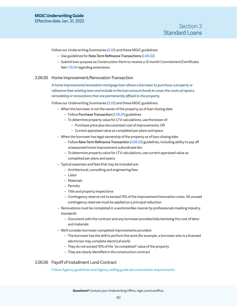<span id="page-39-0"></span>Follow our Underwriting Summaries ([3.02\)](#page-23-0) and these MGIC guidelines:

- Use guidelines for Rate-Term Refinance Transactions [\(3.06.02\)](#page-37-3)
- Submit loan purpose as Construction-Perm to receive a 12-month Commitment/Certificate. See [1.10.04](#page-13-1) regarding extensions

#### <span id="page-39-1"></span>3.06.05 Home Improvement/Renovation Transaction

*A home improvement/renovation mortgage loan allows a borrower to purchase a property or refinance their existing loan and include in the loan amount funds to cover the costs of repairs, remodeling or renovations that are permanently affixed to the property.*

Follow our Underwriting Summaries ([3.02\)](#page-23-0) and these MGIC guidelines:

- When the borrower is not the owner of the property as of loan closing date
	- Follow Purchase Transaction [\(3.06.01](#page-37-2)) guidelines
	- To determine property value for LTV calculations, use the lesser of:
		- Purchase price plus documented cost of improvements; OR
		- Current appraised value as completed per plans and specs
- When the borrower has legal ownership of the property as of loan closing date
	- Follow Rate-Term Refinance Transaction [\(3.06.02](#page-37-3)) guidelines, including ability to pay off unseasoned home improvement subordinate lien
	- To determine property value for LTV calculations, use current appraised value as completed per plans and specs
- Typical expenses and fees that may be included are:
	- Architectural, consulting and engineering fees
	- Labor
	- Materials
	- Permits
	- Title and property inspections
	- Contingency reserve not to exceed 15% of the improvement/renovation costs. All unused contingency reserves must be applied as a principal reduction
- Renovations must be completed in a workmanlike manner by professionals meeting industry standards
	- Document with the contract and any borrower-provided bids itemizing the cost of labor and materials
- We'll consider borrower-completed improvements provided:
	- The borrower has the skill to perform the work (for example, a borrower who is a licensed electrician may complete electrical work)
	- They do not exceed 10% of the "as completed" value of the property
	- They are clearly identified in the construction contract

### 3.06.06 Payoff of Installment Land Contract

Follow Agency guidelines and Agency selling guide documentation requirements.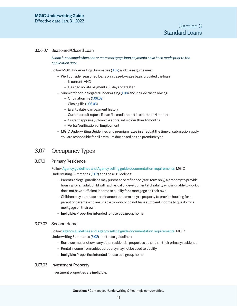## <span id="page-40-0"></span>3.06.07 Seasoned/Closed Loan

## *A loan is seasoned when one or more mortgage loan payments have been made prior to the application date.*

Follow MGIC Underwriting Summaries [\(3.02\)](#page-23-0) and these guidelines:

- We'll consider seasoned loans on a case-by-case basis provided the loan:
	- Is current, AND
	- Has had no late payments 30 days or greater
- Submit for non-delegated underwriting ([1.08](#page-12-2)) and include the following:
	- Origination file ([1.06.02\)](#page-9-1)
	- Closing file ([1.06.03\)](#page-9-2)
	- Ever to date loan payment history
	- Current credit report, if loan file credit report is older than 4 months
	- Current appraisal, if loan file appraisal is older than 12 months
	- Verbal Verification of Employment
- MGIC Underwriting Guidelines and premium rates in effect at the time of submission apply. You are responsible for all premium due based on the premium type

# 3.07 Occupancy Types

### 3.07.01 Primary Residence

Follow Agency guidelines and Agency selling guide documentation requirements, MGIC Underwriting Summaries [\(3.02](#page-23-0)) and these guidelines:

- Parents or legal guardians may purchase or refinance (rate-term only) a property to provide housing for an adult child with a physical or developmental disability who is unable to work or does not have sufficient income to qualify for a mortgage on their own
- Children may purchase or refinance (rate-term only) a property to provide housing for a parent or parents who are unable to work or do not have sufficient income to qualify for a mortgage on their own
- **Ineligible:** Properties intended for use as a group home

### 3.07.02 Second Home

Follow Agency guidelines and Agency selling guide documentation requirements, MGIC Underwriting Summaries [\(3.02](#page-23-0)) and these guidelines:

- Borrower must not own any other residential properties other than their primary residence
- Rental income from subject property may not be used to qualify
- **Ineligible:** Properties intended for use as a group home

### 3.07.03 Investment Property

Investment properties are **ineligible**.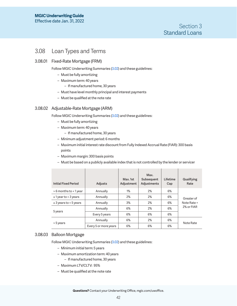# <span id="page-41-0"></span>3.08 Loan Types and Terms

# 3.08.01 Fixed-Rate Mortgage (FRM)

Follow MGIC Underwriting Summaries [\(3.02\)](#page-23-0) and these guidelines:

- Must be fully amortizing
- Maximum term: 40 years
	- If manufactured home, 30 years
- Must have level monthly principal and interest payments
- Must be qualified at the note rate

# <span id="page-41-1"></span>3.08.02 Adjustable-Rate Mortgage (ARM)

Follow MGIC Underwriting Summaries [\(3.02\)](#page-23-0) and these guidelines:

- Must be fully amortizing
- Maximum term: 40 years
	- If manufactured home, 30 years
- Minimum adjustment period: 6 months
- Maximum initial interest rate discount from Fully Indexed Accrual Rate (FIAR): 300 basis points
- Maximum margin: 300 basis points
- Must be based on a publicly available index that is not controlled by the lender or servicer

| <b>Initial Fixed Period</b> | <b>Adjusts</b>        | Max. 1st<br>Adjustment | Max.<br>Subsequent<br>Adjustments | Lifetime<br>Cap | Qualifying<br>Rate |
|-----------------------------|-----------------------|------------------------|-----------------------------------|-----------------|--------------------|
| > 6 months to < 1 year      | Annually              | $1\%$                  | 2%                                | 6%              |                    |
| $\geq 1$ year to < 3 years  | Annually              | 2%                     | 2%                                | 6%              | Greater of         |
| $\geq$ 3 years to < 5 years | Annually              | 3%                     | 2%                                | 6%              | Note Rate +        |
|                             | Annually              | 6%                     | 2%                                | 6%              | 2% or FIAR         |
| 5 years                     | Every 5 years         | 6%                     | 6%                                | 6%              |                    |
|                             | Annually              | 6%                     | 2%                                | 6%              |                    |
| > 5 years                   | Every 5 or more years | 6%                     | 6%                                | 6%              | Note Rate          |

## 3.08.03 Balloon Mortgage

Follow MGIC Underwriting Summaries [\(3.02\)](#page-23-0) and these guidelines:

- Minimum initial term: 5 years
- Maximum amortization term: 40 years
	- If manufactured home, 30 years
- Maximum LTV/CLTV: 95%
- Must be qualified at the note rate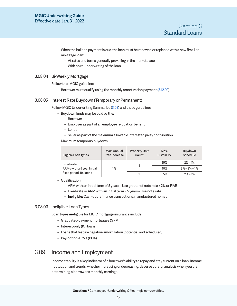- <span id="page-42-0"></span>– When the balloon payment is due, the loan must be renewed or replaced with a new first-lien mortgage loan:
	- At rates and terms generally prevailing in the marketplace
	- With no re-underwriting of the loan

## 3.08.04 Bi-Weekly Mortgage

Follow this MGIC guideline:

– Borrower must qualify using the monthly amortization payment [\(3.12.02](#page-53-1))

## 3.08.05 Interest Rate Buydown (Temporary or Permanent)

Follow MGIC Underwriting Summaries [\(3.02\)](#page-23-0) and these guidelines:

- Buydown funds may be paid by the:
	- Borrower
	- Employer as part of an employee relocation benefit
	- Lender
	- Seller as part of the maximum allowable interested party contribution
- Maximum temporary buydown:

| Eligible Loan Types                   | Max. Annual<br>Rate Increase | <b>Property Unit</b><br>Count | Max.<br><b>LTV/CLTV</b> | Buydown<br>Schedule |
|---------------------------------------|------------------------------|-------------------------------|-------------------------|---------------------|
| Fixed-rate,                           |                              |                               | 95%                     | $2\% - 1\%$         |
| ARMs with $\geq 5$ year initial<br>1% |                              |                               | 90%                     | $3\% - 2\% - 1\%$   |
| fixed period, Balloons                |                              |                               | 95%                     | $2\% - 1\%$         |

- Qualification:
	- ARM with an initial term of 5 years Use greater of note rate + 2% or FIAR
	- Fixed-rate or ARM with an initial term > 5 years Use note rate
	- **Ineligible:** Cash-out refinance transactions, manufactured homes

# 3.08.06 Ineligible Loan Types

Loan types **ineligible** for MGIC mortgage insurance include:

- Graduated-payment mortgages (GPM)
- Interest-only (IO) loans
- Loans that feature negative amortization (potential and scheduled)
- Pay-option ARMs (POA)

# <span id="page-42-1"></span>3.09 Income and Employment

Income stability is a key indicator of a borrower's ability to repay and stay current on a loan. Income fluctuation and trends, whether increasing or decreasing, deserve careful analysis when you are determining a borrower's monthly earnings.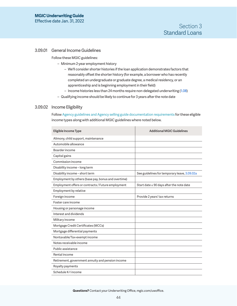### <span id="page-43-0"></span>3.09.01 General Income Guidelines

Follow these MGIC guidelines:

- Minimum 2-year employment history
	- We'll consider shorter histories if the loan application demonstrates factors that reasonably offset the shorter history (for example, a borrower who has recently completed an undergraduate or graduate degree, a medical residency, or an apprenticeship and is beginning employment in their field)
	- Income histories less than 24 months require non-delegated underwriting [\(1.08](#page-12-2))
- Qualifying income should be likely to continue for 3 years after the note date

# 3.09.02 Income Eligibility

Follow Agency guidelines and Agency selling guide documentation requirements for these eligible income types along with additional MGIC guidelines where noted below.

| Eligible Income Type                                | <b>Additional MGIC Guidelines</b>             |
|-----------------------------------------------------|-----------------------------------------------|
| Alimony, child support, maintenance                 |                                               |
| Automobile allowance                                |                                               |
| Boarder income                                      |                                               |
| Capital gains                                       |                                               |
| Commission income                                   |                                               |
| Disability income - long term                       |                                               |
| Disability income - short term                      | See guidelines for temporary leave, 3.09.02a  |
| Employment by others (base pay, bonus and overtime) |                                               |
| Employment offers or contracts / Future employment  | Start date $\leq 90$ days after the note date |
| Employment by relative                              |                                               |
| Foreign income                                      | Provide 2 years' tax returns                  |
| Foster care income                                  |                                               |
| Housing or parsonage income                         |                                               |
| Interest and dividends                              |                                               |
| Military income                                     |                                               |
| Mortgage Credit Certificates (MCCs)                 |                                               |
| Mortgage differential payments                      |                                               |
| Nontaxable/Tax-exempt income                        |                                               |
| Notes receivable income                             |                                               |
| Public assistance                                   |                                               |
| Rental income                                       |                                               |
| Retirement, government annuity and pension income   |                                               |
| Royalty payments                                    |                                               |
| Schedule K-1 income                                 |                                               |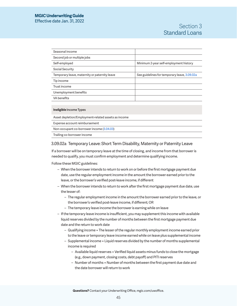| Seasonal income                               |                                              |
|-----------------------------------------------|----------------------------------------------|
| Second job or multiple jobs                   |                                              |
| Self-employed                                 | Minimum 2-year self-employment history       |
| Social Security                               |                                              |
| Temporary leave, maternity or paternity leave | See guidelines for temporary leave, 3.09.02a |
| Tip income                                    |                                              |
| Trust income                                  |                                              |
| Unemployment benefits                         |                                              |
| VA benefits                                   |                                              |
|                                               |                                              |

#### **Ineligible** Income Types

Asset depletion/Employment-related assets as income

Expense account reimbursement

Non-occupant co-borrower income ([3.04.03](#page-35-1))

Trailing co-borrower income

## <span id="page-44-0"></span>3.09.02a Temporary Leave: Short Term Disability, Maternity or Paternity Leave

If a borrower will be on temporary leave at the time of closing, and income from that borrower is needed to qualify, you must confirm employment and determine qualifying income.

#### Follow these MGIC guidelines:

- When the borrower intends to return to work on or before the first mortgage payment due date, use the regular employment income in the amount the borrower earned prior to the leave, or the borrower's verified post-leave income, if different
- When the borrower intends to return to work after the first mortgage payment due date, use the lesser of:
	- The regular employment income in the amount the borrower earned prior to the leave, or the borrower's verified post-leave income, if different; OR
	- The temporary leave income the borrower is earning while on leave
- If the temporary leave income is insufficient, you may supplement this income with available liquid reserves divided by the number of months between the first mortgage payment due date and the return to work date
	- Qualifying income = The lesser of the regular monthly employment income earned prior to the leave or temporary leave income earned while on leave plus supplemental income
	- Supplemental income = Liquid reserves divided by the number of months supplemental income is required
		- Available liquid reserves = Verified liquid assets minus funds to close the mortgage (e.g., down payment, closing costs, debt payoff) and PITI reserves
		- Number of months = Number of months between the first payment due date and the date borrower will return to work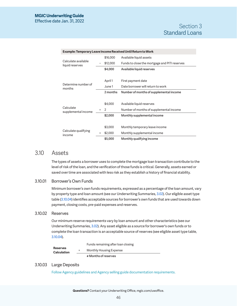<span id="page-45-0"></span>

| Example: Temporary Leave Income Received Until Return to Work |   |          |                                               |
|---------------------------------------------------------------|---|----------|-----------------------------------------------|
| Calculate available<br>liquid reserves                        |   | \$16,000 | Available liquid assets                       |
|                                                               |   | \$12,000 | Funds to close the mortgage and PITI reserves |
|                                                               |   | \$4,000  | Available liquid reserves                     |
|                                                               |   |          |                                               |
| Determine number of<br>months                                 |   | April 1  | First payment date                            |
|                                                               |   | June 1   | Date borrower will return to work             |
|                                                               |   | 2 months | Number of months of supplemental income       |
|                                                               |   |          |                                               |
| Calculate<br>supplemental income                              |   | \$4,000  | Available liquid reserves                     |
|                                                               | ÷ | 2        | Number of months of supplemental income       |
|                                                               |   | \$2,000  | Monthly supplemental income                   |
|                                                               |   |          |                                               |
| Calculate qualifying<br>income                                |   | \$3,000  | Monthly temporary leave income                |
|                                                               | ÷ | \$2,000  | Monthly supplemental income                   |
|                                                               |   | \$5,000  | Monthly qualifying income                     |

# 3.10 Assets

The types of assets a borrower uses to complete the mortgage loan transaction contribute to the level of risk of the loan, and the verification of those funds is critical. Generally, assets earned or saved over time are associated with less risk as they establish a history of financial stability.

# <span id="page-45-1"></span>3.10.01 Borrower's Own Funds

Minimum borrower's own funds requirements, expressed as a percentage of the loan amount, vary by property type and loan amount (see our Underwriting Summaries, [3.02](#page-23-0)). Our eligible asset type table [\(3.10.04\)](#page-46-1) identifies acceptable sources for borrower's own funds that are used towards down payment, closing costs, pre-paid expenses and reserves.

# <span id="page-45-2"></span>3.10.02 Reserves

Our minimum reserve requirements vary by loan amount and other characteristics (see our Underwriting Summaries, [3.02](#page-23-0)). Any asset eligible as a source for borrower's own funds or to complete the loan transaction is an acceptable source of reserves (see eligible asset type table, [3.10.04](#page-46-1)).

|                                       |        | # Months of reserves               |
|---------------------------------------|--------|------------------------------------|
| <b>Reserves</b><br><b>Calculation</b> | $\div$ | Monthly Housing Expense            |
|                                       |        | Funds remaining after loan closing |

# 3.10.03 Large Deposits

Follow Agency guidelines and Agency selling guide documentation requirements.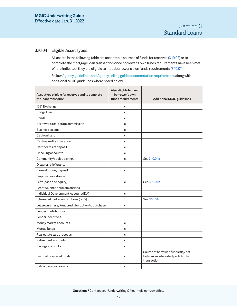# <span id="page-46-1"></span><span id="page-46-0"></span>3.10.04 Eligible Asset Types

All assets in the following table are acceptable sources of funds for reserves ([3.10.02](#page-45-2)) or to complete the mortgage loan transaction once borrower's own funds requirements have been met. Where indicated, they are eligible to meet borrower's own funds requirements ([3.10.01\)](#page-45-1).

Follow Agency guidelines and Agency selling guide documentation requirements along with additional MGIC guidelines where noted below.

| Asset type eligible for reserves and to complete<br>the loan transaction | Also eligible to meet<br>borrower's own<br>funds requirements | <b>Additional MGIC guidelines</b>                                                     |
|--------------------------------------------------------------------------|---------------------------------------------------------------|---------------------------------------------------------------------------------------|
| 1031 Exchange                                                            | ×                                                             |                                                                                       |
| Bridge loan                                                              | $\boldsymbol{\mathsf{x}}$                                     |                                                                                       |
| <b>Bonds</b>                                                             | $\pmb{\times}$                                                |                                                                                       |
| Borrower's real estate commission                                        | ×                                                             |                                                                                       |
| Business assets                                                          | $\pmb{\times}$                                                |                                                                                       |
| Cash on hand                                                             | $\boldsymbol{\mathsf{x}}$                                     |                                                                                       |
| Cash value life insurance                                                | ×                                                             |                                                                                       |
| Certificates of deposit                                                  | ×                                                             |                                                                                       |
| Checking accounts                                                        | $\boldsymbol{\mathsf{x}}$                                     |                                                                                       |
| Community/pooled savings                                                 | ×                                                             | See 3.10.04a                                                                          |
| Disaster relief grants                                                   |                                                               |                                                                                       |
| Earnest money deposit                                                    | $\pmb{\times}$                                                |                                                                                       |
| Employer assistance                                                      |                                                               |                                                                                       |
| Gifts (cash and equity)                                                  | $\boldsymbol{\mathsf{x}}$                                     | See 3.10.04b                                                                          |
| Grants/Donations from entities                                           |                                                               |                                                                                       |
| Individual Development Account (IDA)                                     | $\pmb{\times}$                                                |                                                                                       |
| Interested party contributions (IPCs)                                    |                                                               | See 3.10.04c                                                                          |
| Lease purchase/Rent credit for option to purchase                        | ×                                                             |                                                                                       |
| Lender contributions                                                     |                                                               |                                                                                       |
| Lender incentives                                                        |                                                               |                                                                                       |
| Money market accounts                                                    | $\pmb{\times}$                                                |                                                                                       |
| Mutual funds                                                             | $\pmb{\times}$                                                |                                                                                       |
| Real estate sale proceeds                                                | ×                                                             |                                                                                       |
| Retirement accounts                                                      | $\boldsymbol{\mathsf{x}}$                                     |                                                                                       |
| Savings accounts                                                         | ×                                                             |                                                                                       |
| Secured borrowed funds                                                   | ×                                                             | Source of borrowed funds may not<br>be from an interested party to the<br>transaction |
| Sale of personal assets                                                  | $\boldsymbol{\mathsf{x}}$                                     |                                                                                       |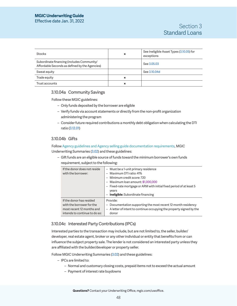Effective date Jan. 31, 2022

| <b>Stocks</b>                                                                                | × | See Ineligible Asset Types (3.10.05) for<br>exceptions |
|----------------------------------------------------------------------------------------------|---|--------------------------------------------------------|
| Subordinate financing (includes Community/<br>Affordable Seconds as defined by the Agencies) |   | See 3.05.03                                            |
| Sweat equity                                                                                 |   | See 3.10.04d                                           |
| Trade equity                                                                                 | × |                                                        |
| Trust accounts                                                                               | × |                                                        |

## <span id="page-47-1"></span>3.10.04a Community Savings

Follow these MGIC guidelines:

- Only funds deposited by the borrower are eligible
- Verify funds via account statements or directly from the non-profit organization administering the program
- Consider future required contributions a monthly debt obligation when calculating the DTI ratio [\(3.12.01\)](#page-52-1)

# <span id="page-47-0"></span>3.10.04b Gifts

Follow Agency guidelines and Agency selling guide documentation requirements, MGIC Underwriting Summaries [\(3.02](#page-23-0)) and these guidelines:

– Gift funds are an eligible source of funds toward the minimum borrower's own funds requirement, subject to the following:

| If the donor does not reside<br>with the borrower: | - Must be a 1-unit primary residence<br>Maximum DTI ratio: 41%<br>- Minimum credit score: 720<br>- Maximum loan amount: \$1,000,000<br>- Fixed-rate mortgage or ARM with initial fixed period of at least 5<br>years<br><b>Ineligible:</b> Subordinate financing |
|----------------------------------------------------|------------------------------------------------------------------------------------------------------------------------------------------------------------------------------------------------------------------------------------------------------------------|
| If the donor has resided                           | Provide:                                                                                                                                                                                                                                                         |
| with the borrower for the                          | Documentation supporting the most recent 12-month residency                                                                                                                                                                                                      |
| most recent 12 months and                          | - A letter of intent to continue occupying the property signed by the                                                                                                                                                                                            |
| intends to continue to do so:                      | donor                                                                                                                                                                                                                                                            |

# <span id="page-47-2"></span>3.10.04c Interested Party Contributions (IPCs)

Interested parties to the transaction may include, but are not limited to, the seller, builder/ developer, real estate agent, broker or any other individual or entity that benefits from or can influence the subject property sale. The lender is not considered an interested party unless they are affiliated with the builder/developer or property seller.

Follow MGIC Underwriting Summaries [\(3.02\)](#page-23-0) and these guidelines:

- IPCs are limited to:
	- Normal and customary closing costs, prepaid items not to exceed the actual amount
	- Payment of interest rate buydowns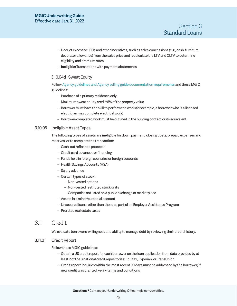- <span id="page-48-0"></span>– Deduct excessive IPCs and other incentives, such as sales concessions (e.g., cash, furniture, decorator allowance) from the sales price and recalculate the LTV and CLTV to determine eligibility and premium rates
- <span id="page-48-3"></span>– **Ineligible:** Transactions with payment abatements

# 3.10.04d Sweat Equity

Follow Agency guidelines and Agency selling guide documentation requirements and these MGIC guidelines:

- Purchase of a primary residence only
- Maximum sweat equity credit: 5% of the property value
- Borrower must have the skill to perform the work (for example, a borrower who is a licensed electrician may complete electrical work)
- Borrower-completed work must be outlined in the building contact or its equivalent

## <span id="page-48-2"></span>3.10.05 Ineligible Asset Types

The following types of assets are **ineligible** for down payment, closing costs, prepaid expenses and reserves, or to complete the transaction:

- Cash-out refinance proceeds
- Credit card advances or financing
- Funds held in foreign countries or foreign accounts
- Health Savings Accounts (HSA)
- Salary advance
- Certain types of stock:
	- Non-vested options
	- Non-vested restricted stock units
	- Companies not listed on a public exchange or marketplace
- Assets in a minor/custodial account
- Unsecured loans, other than those as part of an Employer Assistance Program
- Prorated real estate taxes

# <span id="page-48-1"></span>3.11 Credit

We evaluate borrowers' willingness and ability to manage debt by reviewing their credit history.

# <span id="page-48-4"></span>3.11.01 Credit Report

Follow these MGIC guidelines:

- Obtain a US credit report for each borrower on the loan application from data provided by at least 2 of the 3 national credit repositories: Equifax, Experian, or TransUnion
- Credit report inquiries within the most recent 90 days must be addressed by the borrower; if new credit was granted, verify terms and conditions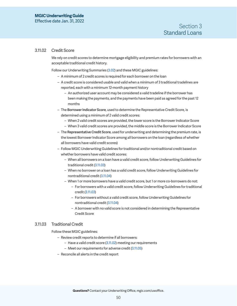## <span id="page-49-0"></span>3.11.02 Credit Score

We rely on credit scores to determine mortgage eligibility and premium rates for borrowers with an acceptable traditional credit history.

Follow our Underwriting Summaries ([3.02\)](#page-23-0) and these MGIC guidelines:

- A minimum of 2 credit scores is required for each borrower on the loan
- A credit score is considered usable and valid when a minimum of 3 traditional tradelines are reported, each with a minimum 12-month payment history
	- An authorized user account may be considered a valid tradeline if the borrower has been making the payments, and the payments have been paid as agreed for the past 12 months
- The Borrower Indicator Score, used to determine the Representative Credit Score, is determined using a minimum of 2 valid credit scores:
	- When 2 valid credit scores are provided, the lower score is the Borrower Indicator Score
	- When 3 valid credit scores are provided, the middle score is the Borrower Indicator Score
- The Representative Credit Score, used for underwriting and determining the premium rate, is the lowest Borrower Indicator Score among all borrowers on the loan (regardless of whether all borrowers have valid credit scores)
- Follow MGIC Underwriting Guidelines for traditional and/or nontraditional credit based on whether borrowers have valid credit scores:
	- When all borrowers on a loan have a valid credit score, follow Underwriting Guidelines for traditional credit [\(3.11.03\)](#page-49-2)
	- When no borrower on a loan has a valid credit score, follow Underwriting Guidelines for nontraditional credit ([3.11.04\)](#page-49-1)
	- When 1 or more borrowers have a valid credit score, but 1 or more co-borrowers do not:
		- For borrowers with a valid credit score, follow Underwriting Guidelines for traditional credit [\(3.11.03](#page-49-2))
		- For borrowers without a valid credit score, follow Underwriting Guidelines for nontraditional credit ([3.11.04\)](#page-49-1)
		- A borrower with no valid score is not considered in determining the Representative Credit Score

### <span id="page-49-2"></span>3.11.03 Traditional Credit

Follow these MGIC guidelines:

- Review credit reports to determine if all borrowers:
	- Have a valid credit score (3.11.02) meeting our requirements
	- Meet our requirements for adverse credit ([3.11.05](#page-51-1))
- <span id="page-49-1"></span>– Reconcile all alerts in the credit report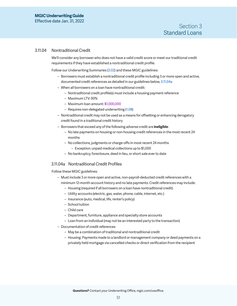## <span id="page-50-1"></span><span id="page-50-0"></span>3.11.04 Nontraditional Credit

We'll consider any borrower who does not have a valid credit score or meet our traditional credit requirements if they have established a nontraditional credit profile.

Follow our Underwriting Summaries ([3.02\)](#page-23-0) and these MGIC guidelines:

- Borrowers must establish a nontraditional credit profile including 3 or more open and active, documented credit references as detailed in our guidelines below, [3.11.04a](#page-50-2)
- When all borrowers on a loan have nontraditional credit:
	- Nontraditional credit profile(s) must include a housing payment reference
	- Maximum LTV: 90%
	- Maximum loan amount: \$1,000,000
	- Requires non-delegated underwriting [\(1.08\)](#page-12-2)
- Nontraditional credit may not be used as a means for offsetting or enhancing derogatory credit found in a traditional credit history
- Borrowers that exceed any of the following adverse credit are **ineligible**:
	- No late payments on housing or non-housing credit references in the most recent 24 months
	- No collections, judgments or charge-offs in most recent 24 months
		- Exception: unpaid medical collections up to \$1,000
	- No bankruptcy, foreclosure, deed in lieu, or short sale ever to date

### <span id="page-50-2"></span>3.11.04a Nontraditional Credit Profiles

#### Follow these MGIC guidelines:

- Must include 3 or more open and active, non-payroll-deducted credit references with a minimum 12-month account history and no late payments. Credit references may include:
	- Housing (required if all borrowers on a loan have nontraditional credit)
	- Utility accounts (electric, gas, water, phone, cable, internet, etc.)
	- Insurance (auto, medical, life, renter's policy)
	- School tuition
	- Child care
	- Department, furniture, appliance and specialty store accounts
	- Loan from an individual (may not be an interested party to the transaction)
- Documentation of credit references
	- May be a combination of traditional and nontraditional credit
	- Housing: Payments made to a landlord or management company or deed payments on a privately held mortgage via cancelled checks or direct verification from the recipient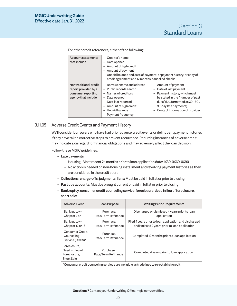- Account statements that include – Creditor's name – Date opened – Amount of high credit – Amount of payment – Unpaid balance and date of payment; or payment history; or copy of credit agreement and 12 months' cancelled checks Nontraditional credit report provided by a consumer reporting agency that include – Borrower name and address – Amount of payment – Public records search – Names of creditors – Date opened – Date last reported – Amount of high credit – Unpaid balance – Payment frequency – Date of last payment – Payment history, which must be stated in the "number of past dues" (i.e., formatted as 30-, 60-, 90-day late payments) – Contact information of provider
- <span id="page-51-0"></span>– For other credit references, either of the following:

### <span id="page-51-1"></span>3.11.05 Adverse Credit Events and Payment History

We'll consider borrowers who have had prior adverse credit events or delinquent payment histories if they have taken corrective steps to prevent recurrence. Recurring instances of adverse credit may indicate a disregard for financial obligations and may adversely affect the loan decision.

Follow these MGIC guidelines:

- Late payments
	- Housing: Most recent 24 months prior to loan application date: 1X30, 0X60, 0X90
	- No action is needed on non-housing installment and revolving payment histories as they are considered in the credit score
- Collections, charge-offs, judgments, liens: Must be paid in full at or prior to closing
- Past due accounts: Must be brought current or paid in full at or prior to closing
- Bankruptcy, consumer credit counseling service, foreclosure, deed in lieu of foreclosure, short sale:

| <b>Adverse Event</b>                                          | Loan Purpose                     | <b>Waiting Period Requirements</b>                                                                       |
|---------------------------------------------------------------|----------------------------------|----------------------------------------------------------------------------------------------------------|
| Bankruptcy-<br>Chapter 7 or 11                                | Purchase.<br>Rate/Term Refinance | Discharged or dismissed 4 years prior to loan<br>application                                             |
| Bankruptcy-<br>Chapter 12 or 13                               | Purchase.<br>Rate/Term Refinance | Filed 4 years prior to loan application and discharged<br>or dismissed 2 years prior to loan application |
| Consumer Credit<br>Counseling<br>Service (CCCS)*              | Purchase.<br>Rate/Term Refinance | Completed 12 months prior to loan application                                                            |
| Foreclosure,<br>Deed in Lieu of<br>Foreclosure.<br>Short Sale | Purchase.<br>Rate/Term Refinance | Completed 4 years prior to loan application                                                              |

\*Consumer credit counseling services are ineligible as tradelines to re-establish credit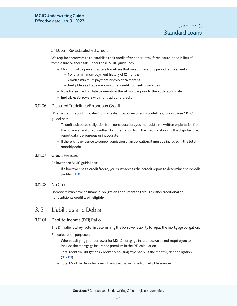# <span id="page-52-0"></span>3.11.05a Re-Established Credit

We require borrowers to re-establish their credit after bankruptcy, foreclosure, deed in lieu of foreclosure or short sale under these MGIC guidelines:

- Minimum of 3 open and active tradelines that meet our waiting period requirements
	- 1 with a minimum payment history of 12 months
	- 2 with a minimum payment history of 24 months
	- **Ineligible** as a tradeline: consumer credit counseling services
- No adverse credit or late payments in the 24 months prior to the application date
- **Ineligible:** Borrowers with nontraditional credit

## 3.11.06 Disputed Tradelines/Erroneous Credit

When a credit report indicates 1 or more disputed or erroneous tradelines, follow these MGIC guidelines:

- To omit a disputed obligation from consideration, you must obtain a written explanation from the borrower and direct written documentation from the creditor showing the disputed credit report data is erroneous or inaccurate
- If there is no evidence to support omission of an obligation, it must be included in the total monthly debt

### 3.11.07 Credit Freezes

Follow these MGIC guidelines:

– If a borrower has a credit freeze, you must access their credit report to determine their credit profile [\(3.11.01](#page-48-4))

### 3.11.08 No Credit

Borrowers who have no financial obligations documented through either traditional or nontraditional credit are **ineligible**.

# 3.12 Liabilities and Debts

### <span id="page-52-1"></span>3.12.01 Debt-to-Income (DTI) Ratio

The DTI ratio is a key factor in determining the borrower's ability to repay the mortgage obligation.

For calculation purposes:

- When qualifying your borrower for MGIC mortgage insurance, we do not require you to include the mortgage insurance premium in the DTI calculation
- Total Monthly Obligations = Monthly housing expense plus the monthly debt obligation [\(3.12.03\)](#page-53-2)
- Total Monthly Gross Income = The sum of all income from eligible sources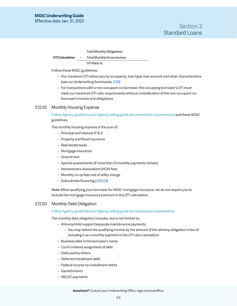<span id="page-53-0"></span>Effective date Jan. 31, 2022

# Section 3 Standard Loans

Total Monthly Obligations

**DTI Calculation** ÷ Total Monthly Gross Income DTI Ratio %

Follow these MGIC guidelines:

- Our maximum DTI ratios vary by occupancy, loan type, loan amount and other characteristics (see our Underwriting Summaries, [3.02](#page-23-0))
- For transactions with a non-occupant co-borrower, the occupying borrower's DTI must meet our maximum DTI ratio requirements without consideration of the non-occupant coborrower's income and obligations

# <span id="page-53-1"></span>3.12.02 Monthly Housing Expense

Follow Agency guidelines and Agency selling guide documentation requirements and these MGIC guidelines.

The monthly housing expense is the sum of:

- Principal and interest (P & I)
- Property and flood insurance
- Real estate taxes
- Mortgage insurance
- Ground rent
- Special assessments (if more than 10 monthly payments remain)
- Homeowners Association (HOA) fees
- Monthly co-op fees net of utility charge
- Subordinate financing [\(3.05.03](#page-37-4))

Note: When qualifying your borrower for MGIC mortgage insurance, we do not require you to include the mortgage insurance premium in the DTI calculation.

# <span id="page-53-2"></span>3.12.03 Monthly Debt Obligation

Follow Agency guidelines and Agency selling guide documentation requirements.

The monthly debt obligation includes, but is not limited to:

- Alimony/child support/separate maintenance payments
	- You may reduce the qualifying income by the amount of the alimony obligation in lieu of including it as a monthly payment in the DTI ratio calculation
- Business debt in the borrower's name
- Court-ordered assignment of debt
- Debt paid by others
- Deferred installment debt
- Federal income tax installment debts
- Garnishments
- HELOC payments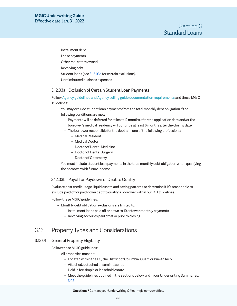- <span id="page-54-0"></span>– Installment debt
- Lease payments
- Other real estate owned
- Revolving debt
- Student loans (see 3.12.03a for certain exclusions)
- Unreimbursed business expenses

#### 3.12.03a Exclusion of Certain Student Loan Payments

Follow Agency guidelines and Agency selling guide documentation requirements and these MGIC guidelines:

- You may exclude student loan payments from the total monthly debt obligation if the following conditions are met:
	- Payments will be deferred for at least 12 months after the application date and/or the borrower's medical residency will continue at least 6 months after the closing date
	- The borrower responsible for the debt is in one of the following professions:
		- Medical Resident
		- Medical Doctor
		- Doctor of Dental Medicine
		- Doctor of Dental Surgery
		- Doctor of Optometry
- You must include student loan payments in the total monthly debt obligation when qualifying the borrower with future income

### 3.12.03b Payoff or Paydown of Debt to Qualify

Evaluate past credit usage, liquid assets and saving patterns to determine if it's reasonable to exclude paid off or paid down debt to qualify a borrower within our DTI guidelines.

#### Follow these MGIC guidelines:

- Monthly debt obligation exclusions are limited to:
	- Installment loans paid off or down to 10 or fewer monthly payments
	- Revolving accounts paid off at or prior to closing

# 3.13 Property Types and Considerations

#### <span id="page-54-1"></span>3.13.01 General Property Eligibility

Follow these MGIC guidelines:

- All properties must be:
	- Located within the US, the District of Columbia, Guam or Puerto Rico
	- Attached, detached or semi-attached
	- Held in fee simple or leasehold estate
	- Meet the guidelines outlined in the sections below and in our Underwriting Summaries, [3.02](#page-23-0)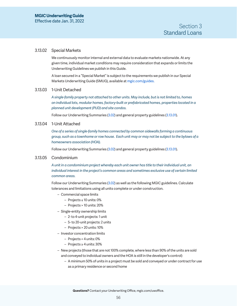#### <span id="page-55-1"></span>3.13.02 Special Markets

We continuously monitor internal and external data to evaluate markets nationwide. At any given time, individual market conditions may require consideration that expands or limits the Underwriting Guidelines we publish in this Guide.

A loan secured in a "Special Market" is subject to the requirements we publish in our Special Markets Underwriting Guide (SMUG), available at [mgic.com/guides](https://www.mgic.com/underwriting/guide-summaries).

### 3.13.03 1-Unit Detached

*A single-family property not attached to other units. May include, but is not limited to, homes on individual lots, modular homes, factory-built or prefabricated homes, properties located in a planned unit development (PUD) and site condos.*

Follow our Underwriting Summaries ([3.02\)](#page-23-0) and general property guidelines ([3.13.01\)](#page-54-1).

## 3.13.04 1-Unit Attached

*One of a series of single-family homes connected by common sidewalls forming a continuous group, such as a townhome or row house. Each unit may or may not be subject to the bylaws of a homeowners association (HOA).*

Follow our Underwriting Summaries ([3.02\)](#page-23-0) and general property guidelines ([3.13.01\)](#page-54-1).

### <span id="page-55-0"></span>3.13.05 Condominium

*A unit in a condominium project whereby each unit owner has title to their individual unit, an individual interest in the project's common areas and sometimes exclusive use of certain limited common areas.*

Follow our Underwriting Summaries ([3.02\)](#page-23-0) as well as the following MGIC guidelines. Calculate tolerances and limitations using all units complete or under construction.

- Commercial space limits
	- Projects ≤ 10 units: 0%
	- Projects > 10 units: 20%
- Single-entity ownership limits
	- 2- to 4-unit projects: 1 unit
	- 5- to 20-unit projects: 2 units
	- Projects > 20 units: 10%
- Investor concentration limits
	- Projects < 4 units: 0%
	- Projects ≥ 4 units: 30%
- New projects (those that are not 100% complete, where less than 90% of the units are sold and conveyed to individual owners and the HOA is still in the developer's control)
	- A minimum 50% of units in a project must be sold and conveyed or under contract for use as a primary residence or second home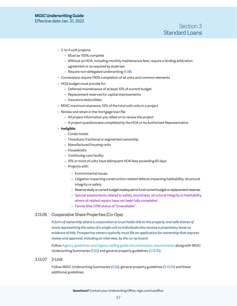- <span id="page-56-0"></span>– 2- to 4-unit projects
	- Must be 100% complete
	- Without an HOA, including monthly maintenance fees, require a binding arbitration agreement or as required by state law
	- Require non-delegated underwriting [\(1.08](#page-12-2))
- Conversions require 100% completion of all units and common elements
- HOA budget must provide for:
	- Deferred maintenance of at least 10% of current budget
	- Replacement reserves for capital improvements
	- Insurance deductibles
- MGIC maximum exposure: 33% of the total sold units in a project
- Review and retain in the mortgage loan file:
	- All project information you relied on to review the project
	- A project questionnaire completed by the HOA or its Authorized Representative
- **Ineligible**:
	- Condo hotels
	- Timeshare, fractional or segmented ownership
	- Manufactured housing units
	- Houseboats
	- Continuing-care facility
	- 15% or more of units have delinquent HOA fees exceeding 60 days
	- Projects with:
		- Environmental issues
		- Litigation impacting construction-related defects impacting habitability, structural integrity or safety
		- Reserve study or current budget inadequate to fund current budget or replacement reserves
		- Special assessments related to safety, soundness, structural integrity or habitability, where all related repairs have not been fully completed
		- Fannie Mae CPM status of "Unavailable"

# 3.13.06 Cooperative Share Properties (Co-Ops)

*A form of ownership where a corporation or trust holds title to the property and sells shares of stock representing the value of a single unit to individuals who receive a proprietary lease as evidence of title. Prospective owners typically must file an application for ownership that requires review and approval, including an interview, by the co-op board.*

Follow Agency guidelines and Agency selling guide documentation requirements along with MGIC Underwriting Summaries [\(3.02\)](#page-23-0) and general property guidelines [\(3.13.01](#page-54-1)).

## 3.13.07 2-Unit

Follow MGIC Underwriting Summaries [\(3.02](#page-23-0)), general property guidelines [\(3.13.01](#page-54-1)) and these additional guidelines: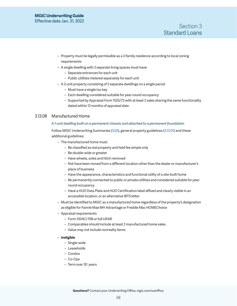- <span id="page-57-0"></span>– Property must be legally permissible as a 2-family residence according to local zoning requirements
- A single dwelling with 2 separate living spaces must have:
	- Separate entrances for each unit
	- Public utilities metered separately for each unit
- A 2-unit property consisting of 2 separate dwellings on a single parcel
	- Must have a single tax key
	- Each dwelling considered suitable for year-round occupancy
	- Supported by Appraisal Form 1025/72 with at least 2 sales sharing the same functionality dated within 12 months of appraisal date

### 3.13.08 Manufactured Home

#### *A 1-unit dwelling built on a permanent chassis and attached to a permanent foundation*

Follow MGIC Underwriting Summaries [\(3.02](#page-23-0)), general property guidelines [\(3.13.01](#page-54-1)) and these additional guidelines:

- The manufactured home must:
	- Be classified as real property and held fee simple only
	- Be double-wide or greater
	- Have wheels, axles and hitch removed
	- Not have been moved from a different location other than the dealer or manufacturer's place of business
	- Have the appearance, characteristics and functional utility of a site-built home
	- Be permanently connected to public or private utilities and considered suitable for yearround occupancy
	- Have a HUD Data Plate and HUD Certification label affixed and clearly visible in an accessible location, or an alternative IBTS letter
- Must be identified to MGIC as a manufactured home regardless of the property's designation as eligible for Fannie Mae MH Advantage or Freddie Mac HOMEChoice
- Appraisal requirements
	- Form 1004C/70B or full URAR
	- Comparables should include at least 2 manufactured home sales
	- Value may not include nonrealty items

#### – **Ineligible**

- Single-wide
- Leaseholds
- Condos
- Co-Ops
- Term over 30 years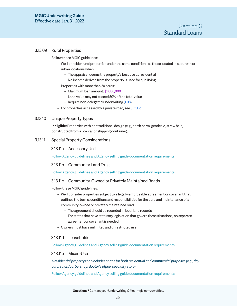## <span id="page-58-1"></span><span id="page-58-0"></span>3.13.09 Rural Properties

Follow these MGIC guidelines:

- We'll consider rural properties under the same conditions as those located in suburban or urban locations when:
	- The appraiser deems the property's best use as residential
	- No income derived from the property is used for qualifying
- Properties with more than 20 acres:
	- Maximum loan amount: \$1,000,000
	- Land value may not exceed 50% of the total value
	- Require non-delegated underwriting [\(1.08\)](#page-12-2)
- For properties accessed by a private road, see [3.13.11c](#page-58-2)

### 3.13.10 Unique Property Types

**Ineligible:** Properties with nontraditional design (e.g., earth berm, geodesic, straw bale, constructed from a box car or shipping container).

## 3.13.11 Special Property Considerations

### 3.13.11a Accessory Unit

Follow Agency guidelines and Agency selling guide documentation requirements.

### 3.13.11b Community Land Trust

Follow Agency guidelines and Agency selling guide documentation requirements.

## <span id="page-58-2"></span>3.13.11c Community-Owned or Privately Maintained Roads

Follow these MGIC guidelines:

- We'll consider properties subject to a legally enforceable agreement or covenant that outlines the terms, conditions and responsibilities for the care and maintenance of a community-owned or privately maintained road
	- The agreement should be recorded in local land records
	- For states that have statutory legislation that govern these situations, no separate agreement or covenant is needed
- Owners must have unlimited and unrestricted use

### 3.13.11d Leaseholds

Follow Agency guidelines and Agency selling guide documentation requirements.

#### 3.13.11e Mixed-Use

*A residential property that includes space for both residential and commercial purposes (e.g., daycare, salon/barbershop, doctor's office, specialty store)* 

Follow Agency guidelines and Agency selling guide documentation requirements.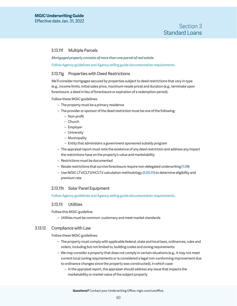### <span id="page-59-0"></span>3.13.11f Multiple Parcels

#### *Mortgaged property consists of more than one parcel of real estate*

Follow Agency guidelines and Agency selling guide documentation requirements.

### 3.13.11g Properties with Deed Restrictions

We'll consider mortgages secured by properties subject to deed restrictions that vary in type (e.g., income limits, initial sales price, maximum resale price) and duration (e.g., terminate upon foreclosure, a deed in lieu of foreclosure or expiration of a redemption period).

Follow these MGIC guidelines:

- The property must be a primary residence
- The provider or sponsor of the deed restriction must be one of the following:
	- Non-profit
	- Church
	- Employer
	- University
	- Municipality
	- Entity that administers a government sponsored subsidy program
- The appraisal report must note the existence of any deed restriction and address any impact the restrictions have on the property's value and marketability
- Restrictions must be documented
- Resale restrictions that survive foreclosure require non-delegated underwriting ([1.08](#page-12-2))
- Use MGIC LTV/CLTV/HCLTV calculation methodology [\(3.05.01\)](#page-35-2) to determine eligibility and premium rate

### 3.13.11h Solar Panel Equipment

Follow Agency guidelines and Agency selling guide documentation requirements.

### 3.13.11i Utilities

Follow this MGIC guideline:

– Utilities must be common, customary and meet market standards

#### 3.13.12 Compliance with Law

Follow these MGIC guidelines:

- The property must comply with applicable federal, state and local laws, ordinances, rules and orders, including but not limited to, building codes and zoning requirements
- We may consider a property that does not comply in certain situations (e.g., it may not meet current local zoning requirements or is considered a legal non-conforming improvement due to ordinance changes since the property was constructed), in which case:
	- In the appraisal report, the appraiser should address any issue that impacts the marketability or market value of the subject property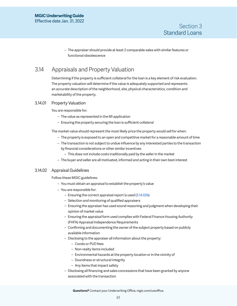– The appraiser should provide at least 2 comparable sales with similar features or functional obsolescence

# <span id="page-60-1"></span><span id="page-60-0"></span>3.14 Appraisals and Property Valuation

Determining if the property is sufficient collateral for the loan is a key element of risk evaluation. The property valuation will determine if the value is adequately supported and represents an accurate description of the neighborhood, site, physical characteristics, condition and marketability of the property.

## 3.14.01 Property Valuation

You are responsible for:

- The value as represented in the MI application
- Ensuring the property securing the loan is sufficient collateral

The market value should represent the most likely price the property would sell for when:

- The property is exposed to an open and competitive market for a reasonable amount of time
- The transaction is not subject to undue influence by any interested parties to the transaction by financial considerations or other similar incentives
	- This does not include costs traditionally paid by the seller in the market
- The buyer and seller are all motivated, informed and acting in their own best interest

### 3.14.02 Appraisal Guidelines

Follow these MGIC guidelines:

- You must obtain an appraisal to establish the property's value
- You are responsible for:
	- Ensuring the correct appraisal report is used [\(3.14.02b\)](#page-62-0)
	- Selection and monitoring of qualified appraisers
	- Ensuring the appraiser has used sound reasoning and judgment when developing their opinion of market value
	- Ensuring the appraisal form used complies with Federal Finance Housing Authority (FHFA) Appraisal Independence Requirements
	- Confirming and documenting the owner of the subject property based on publicly available information
	- Disclosing to the appraiser all information about the property:
		- Condo or PUD fees
		- Non-realty items included
		- Environmental hazards at the property location or in the vicinity of
		- Soundness or structural integrity
		- Any items that impact safety
	- Disclosing all financing and sales concessions that have been granted by anyone associated with the transaction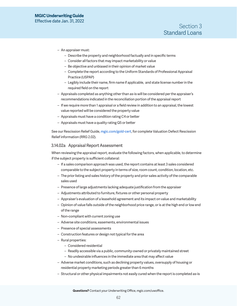- An appraiser must:
	- Describe the property and neighborhood factually and in specific terms
	- Consider all factors that may impact marketability or value
	- Be objective and unbiased in their opinion of market value
	- Complete the report according to the Uniform Standards of Professional Appraisal Practice (USPAP)
	- Legibly include their name, firm name if applicable, and state license number in the required field on the report
- Appraisals completed as anything other than as-is will be considered per the appraiser's recommendations indicated in the reconciliation portion of the appraisal report
- If we require more than 1 appraisal or a field review in addition to an appraisal, the lowest value reported will be considered the property value
- Appraisals must have a condition rating C4 or better
- Appraisals must have a quality rating Q5 or better

See our Rescission Relief Guide, [mgic.com/gold-cert](https://www.mgic.com/-/media/mi/servicing/71-43852-guide-pdf-rescission-relief.pdf), for complete Valuation Defect Rescission Relief information (RRG 2.02).

#### 3.14.02a Appraisal Report Assessment

When reviewing the appraisal report, evaluate the following factors, when applicable, to determine if the subject property is sufficient collateral:

- If a sales comparison approach was used, the report contains at least 3 sales considered comparable to the subject property in terms of size, room count, condition, location, etc.
- The prior listing and sales history of the property and prior sales activity of the comparable sales used
- Presence of large adjustments lacking adequate justification from the appraiser
- Adjustments attributed to furniture, fixtures or other personal property
- Appraiser's evaluation of a leasehold agreement and its impact on value and marketability
- Opinion of value falls outside of the neighborhood price range, or is at the high end or low end of the range
- Non-compliant with current zoning use
- Adverse site conditions, easements, environmental issues
- Presence of special assessments
- Construction features or design not typical for the area
- Rural properties:
	- Considered residential
	- Readily accessible via a public, community-owned or privately maintained street
	- No undesirable influences in the immediate area that may affect value
- Adverse market conditions, such as declining property values, oversupply of housing or residential property marketing periods greater than 6 months
- Structural or other physical impairments not easily cured when the report is completed as-is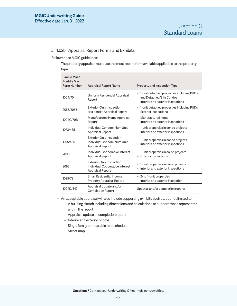## <span id="page-62-0"></span>3.14.02b Appraisal Report Forms and Exhibits

Follow these MGIC guidelines:

– The property appraisal must use the most recent form available applicable to the property type:

| Fannie Mae/<br><b>Freddie Mac</b><br><b>Form Number</b> | <b>Appraisal Report Name</b>                                                                  | Property and Inspection Type                                                                                                             |
|---------------------------------------------------------|-----------------------------------------------------------------------------------------------|------------------------------------------------------------------------------------------------------------------------------------------|
| 1004/70                                                 | Uniform Residential Appraisal<br>Report                                                       | - 1-unit detached properties including PUDs<br>and Detached/Site Condos<br>Interior and exterior inspections<br>$\overline{\phantom{0}}$ |
| 2055/2055                                               | <b>Exterior-Only Inspection</b><br>Residential Appraisal Report                               | 1-unit detached properties including PUDs<br>-<br><b>Exterior inspections</b>                                                            |
| 1004C/70B                                               | Manufactured Home Appraisal<br>Report                                                         | - Manufactured home<br>Interior and exterior inspections                                                                                 |
| 1073/465                                                | Individual Condominium Unit<br><b>Appraisal Report</b>                                        | 1-unit properties in condo projects<br>$\overline{\phantom{0}}$<br>Interior and exterior inspections                                     |
| 1075/466                                                | <b>Exterior-Only Inspection</b><br>Individual Condominium Unit<br><b>Appraisal Report</b>     | - 1-unit properties in condo projects<br>- Interior and exterior inspections                                                             |
| 2090                                                    | Individual Cooperative Interest<br>Appraisal Report                                           | - 1-unit properties in co-op projects<br><b>Exterior inspections</b><br>$\qquad \qquad -$                                                |
| 2095                                                    | <b>Exterior-Only Inspection</b><br>Individual Cooperative Interest<br><b>Appraisal Report</b> | 1-unit properties in co-op projects<br>$\qquad \qquad -$<br>Interior and exterior inspections                                            |
| 1025/72                                                 | Small Residential Income<br><b>Property Appraisal Report</b>                                  | - 2-to 4-unit properties<br>Interior and exterior inspection<br>-                                                                        |
| 1004D/442                                               | Appraisal Update and/or<br><b>Completion Report</b>                                           | Updates and/or completion reports                                                                                                        |

- An acceptable appraisal will also include supporting exhibits such as, but not limited to:
	- A building sketch including dimensions and calculations to support those represented within the report
	- Appraisal update or completion report
	- Interior and exterior photos
	- Single family comparable rent schedule
	- Street map